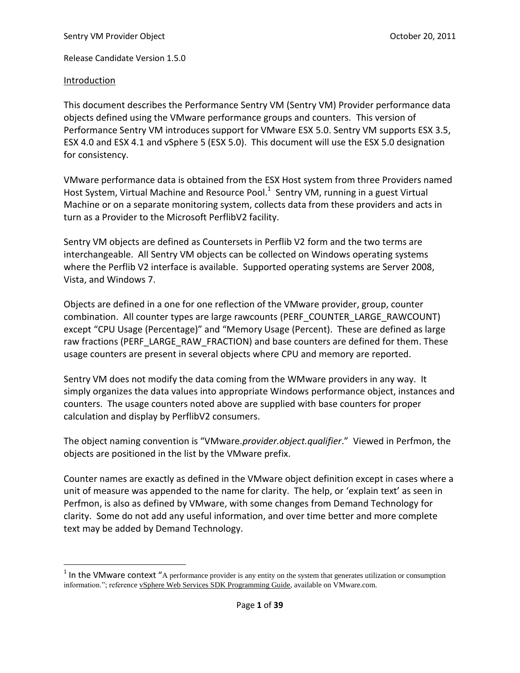## Introduction

 $\overline{\phantom{a}}$ 

This document describes the Performance Sentry VM (Sentry VM) Provider performance data objects defined using the VMware performance groups and counters. This version of Performance Sentry VM introduces support for VMware ESX 5.0. Sentry VM supports ESX 3.5, ESX 4.0 and ESX 4.1 and vSphere 5 (ESX 5.0). This document will use the ESX 5.0 designation for consistency.

VMware performance data is obtained from the ESX Host system from three Providers named Host System, Virtual Machine and Resource Pool. $^1$  Sentry VM, running in a guest Virtual Machine or on a separate monitoring system, collects data from these providers and acts in turn as a Provider to the Microsoft PerflibV2 facility.

Sentry VM objects are defined as Countersets in Perflib V2 form and the two terms are interchangeable. All Sentry VM objects can be collected on Windows operating systems where the Perflib V2 interface is available. Supported operating systems are Server 2008, Vista, and Windows 7.

Objects are defined in a one for one reflection of the VMware provider, group, counter combination. All counter types are large rawcounts (PERF\_COUNTER\_LARGE\_RAWCOUNT) except "CPU Usage (Percentage)" and "Memory Usage (Percent). These are defined as large raw fractions (PERF\_LARGE\_RAW\_FRACTION) and base counters are defined for them. These usage counters are present in several objects where CPU and memory are reported.

Sentry VM does not modify the data coming from the WMware providers in any way. It simply organizes the data values into appropriate Windows performance object, instances and counters. The usage counters noted above are supplied with base counters for proper calculation and display by PerflibV2 consumers.

The object naming convention is "VMware.*provider.object.qualifier*." Viewed in Perfmon, the objects are positioned in the list by the VMware prefix.

Counter names are exactly as defined in the VMware object definition except in cases where a unit of measure was appended to the name for clarity. The help, or 'explain text' as seen in Perfmon, is also as defined by VMware, with some changes from Demand Technology for clarity. Some do not add any useful information, and over time better and more complete text may be added by Demand Technology.

<sup>&</sup>lt;sup>1</sup> In the VMware context "A performance provider is any entity on the system that generates utilization or consumption information."; reference vSphere Web Services SDK Programming Guide, available on VMware.com.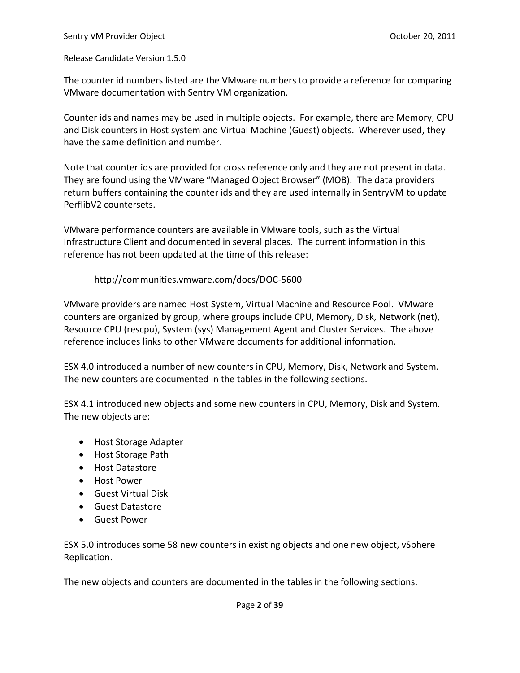The counter id numbers listed are the VMware numbers to provide a reference for comparing VMware documentation with Sentry VM organization.

Counter ids and names may be used in multiple objects. For example, there are Memory, CPU and Disk counters in Host system and Virtual Machine (Guest) objects. Wherever used, they have the same definition and number.

Note that counter ids are provided for cross reference only and they are not present in data. They are found using the VMware "Managed Object Browser" (MOB). The data providers return buffers containing the counter ids and they are used internally in SentryVM to update PerflibV2 countersets.

VMware performance counters are available in VMware tools, such as the Virtual Infrastructure Client and documented in several places. The current information in this reference has not been updated at the time of this release:

### <http://communities.vmware.com/docs/DOC-5600>

VMware providers are named Host System, Virtual Machine and Resource Pool. VMware counters are organized by group, where groups include CPU, Memory, Disk, Network (net), Resource CPU (rescpu), System (sys) Management Agent and Cluster Services. The above reference includes links to other VMware documents for additional information.

ESX 4.0 introduced a number of new counters in CPU, Memory, Disk, Network and System. The new counters are documented in the tables in the following sections.

ESX 4.1 introduced new objects and some new counters in CPU, Memory, Disk and System. The new objects are:

- Host Storage Adapter
- Host Storage Path
- Host Datastore
- Host Power
- Guest Virtual Disk
- Guest Datastore
- Guest Power

ESX 5.0 introduces some 58 new counters in existing objects and one new object, vSphere Replication.

The new objects and counters are documented in the tables in the following sections.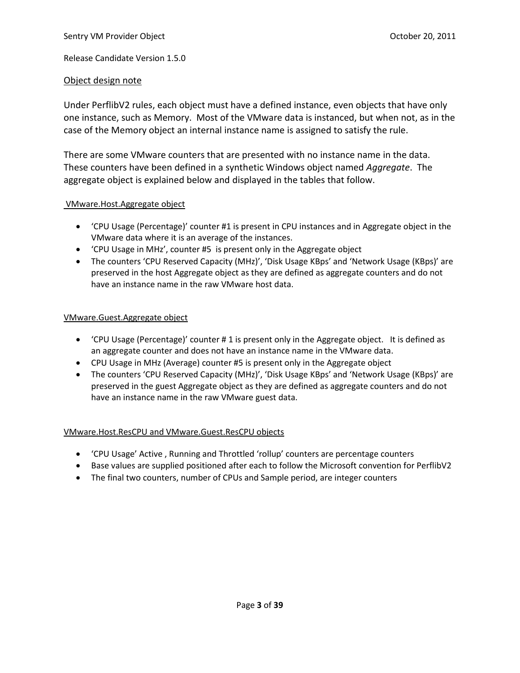### Object design note

Under PerflibV2 rules, each object must have a defined instance, even objects that have only one instance, such as Memory. Most of the VMware data is instanced, but when not, as in the case of the Memory object an internal instance name is assigned to satisfy the rule.

There are some VMware counters that are presented with no instance name in the data. These counters have been defined in a synthetic Windows object named *Aggregate*. The aggregate object is explained below and displayed in the tables that follow.

#### VMware.Host.Aggregate object

- 'CPU Usage (Percentage)' counter #1 is present in CPU instances and in Aggregate object in the VMware data where it is an average of the instances.
- 'CPU Usage in MHz', counter #5 is present only in the Aggregate object
- The counters 'CPU Reserved Capacity (MHz)', 'Disk Usage KBps' and 'Network Usage (KBps)' are preserved in the host Aggregate object as they are defined as aggregate counters and do not have an instance name in the raw VMware host data.

### VMware.Guest.Aggregate object

- 'CPU Usage (Percentage)' counter # 1 is present only in the Aggregate object. It is defined as an aggregate counter and does not have an instance name in the VMware data.
- CPU Usage in MHz (Average) counter #5 is present only in the Aggregate object
- The counters 'CPU Reserved Capacity (MHz)', 'Disk Usage KBps' and 'Network Usage (KBps)' are preserved in the guest Aggregate object as they are defined as aggregate counters and do not have an instance name in the raw VMware guest data.

### VMware.Host.ResCPU and VMware.Guest.ResCPU objects

- 'CPU Usage' Active , Running and Throttled 'rollup' counters are percentage counters
- Base values are supplied positioned after each to follow the Microsoft convention for PerflibV2
- The final two counters, number of CPUs and Sample period, are integer counters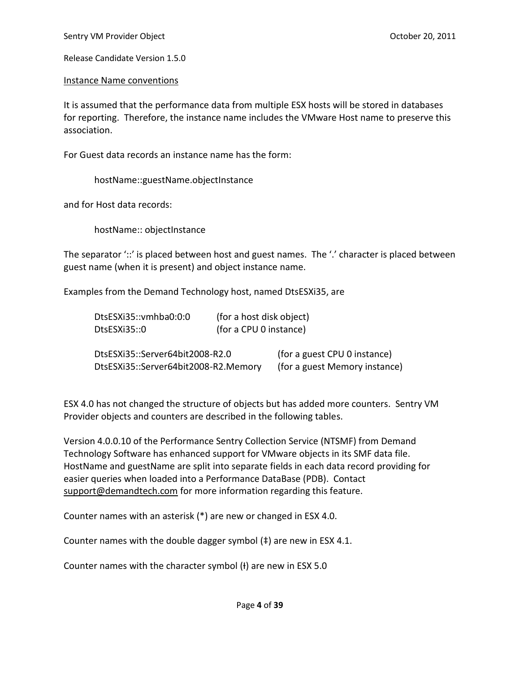### Instance Name conventions

It is assumed that the performance data from multiple ESX hosts will be stored in databases for reporting. Therefore, the instance name includes the VMware Host name to preserve this association.

For Guest data records an instance name has the form:

hostName::guestName.objectInstance

and for Host data records:

hostName:: objectInstance

The separator '::' is placed between host and guest names. The '.' character is placed between guest name (when it is present) and object instance name.

Examples from the Demand Technology host, named DtsESXi35, are

| DtsESXi35::vmhba0:0:0                | (for a host disk object)      |                              |
|--------------------------------------|-------------------------------|------------------------------|
| DtsESXi35::0                         | (for a CPU 0 instance)        |                              |
| DtsESXi35::Server64bit2008-R2.0      |                               | (for a guest CPU 0 instance) |
| DtsESXi35::Server64bit2008-R2.Memory | (for a guest Memory instance) |                              |

ESX 4.0 has not changed the structure of objects but has added more counters. Sentry VM Provider objects and counters are described in the following tables.

Version 4.0.0.10 of the Performance Sentry Collection Service (NTSMF) from Demand Technology Software has enhanced support for VMware objects in its SMF data file. HostName and guestName are split into separate fields in each data record providing for easier queries when loaded into a Performance DataBase (PDB). Contact [support@demandtech.com](mailto:support@demandtech.com) for more information regarding this feature.

Counter names with an asterisk (\*) are new or changed in ESX 4.0.

Counter names with the double dagger symbol (‡) are new in ESX 4.1.

Counter names with the character symbol (+) are new in ESX 5.0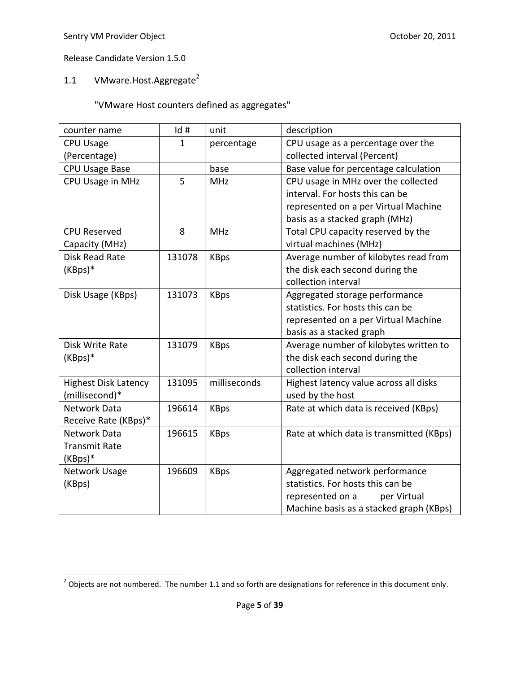# 1.1 VMware.Host.Aggregate<sup>2</sup>

| counter name                | Id#    | unit         | description                              |
|-----------------------------|--------|--------------|------------------------------------------|
| <b>CPU Usage</b>            | 1      | percentage   | CPU usage as a percentage over the       |
| (Percentage)                |        |              | collected interval (Percent)             |
| CPU Usage Base              |        | base         | Base value for percentage calculation    |
| CPU Usage in MHz            | 5      | <b>MHz</b>   | CPU usage in MHz over the collected      |
|                             |        |              | interval. For hosts this can be          |
|                             |        |              | represented on a per Virtual Machine     |
|                             |        |              | basis as a stacked graph (MHz)           |
| <b>CPU Reserved</b>         | 8      | <b>MHz</b>   | Total CPU capacity reserved by the       |
| Capacity (MHz)              |        |              | virtual machines (MHz)                   |
| Disk Read Rate              | 131078 | <b>KBps</b>  | Average number of kilobytes read from    |
| (KBps)*                     |        |              | the disk each second during the          |
|                             |        |              | collection interval                      |
| Disk Usage (KBps)           | 131073 | <b>KBps</b>  | Aggregated storage performance           |
|                             |        |              | statistics. For hosts this can be        |
|                             |        |              | represented on a per Virtual Machine     |
|                             |        |              | basis as a stacked graph                 |
| Disk Write Rate             | 131079 | <b>KBps</b>  | Average number of kilobytes written to   |
| $(KBps)*$                   |        |              | the disk each second during the          |
|                             |        |              | collection interval                      |
| <b>Highest Disk Latency</b> | 131095 | milliseconds | Highest latency value across all disks   |
| (millisecond)*              |        |              | used by the host                         |
| <b>Network Data</b>         | 196614 | <b>KBps</b>  | Rate at which data is received (KBps)    |
| Receive Rate (KBps)*        |        |              |                                          |
| Network Data                | 196615 | <b>KBps</b>  | Rate at which data is transmitted (KBps) |
| <b>Transmit Rate</b>        |        |              |                                          |
| (KBps)*                     |        |              |                                          |
| Network Usage               | 196609 | <b>KBps</b>  | Aggregated network performance           |
| (KBps)                      |        |              | statistics. For hosts this can be        |
|                             |        |              | represented on a<br>per Virtual          |
|                             |        |              | Machine basis as a stacked graph (KBps)  |

<sup>&</sup>lt;u>considence are not numbered.</u><br><sup>2</sup> Objects are not numbered. The number 1.1 and so forth are designations for reference in this document only.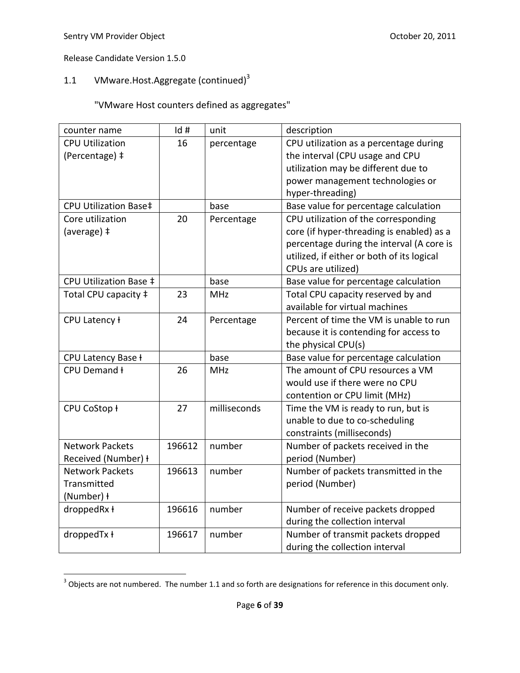# 1.1 VMware.Host.Aggregate (continued) $3$

| counter name           | Id#    | unit         | description                                |
|------------------------|--------|--------------|--------------------------------------------|
| <b>CPU Utilization</b> | 16     | percentage   | CPU utilization as a percentage during     |
| (Percentage) ‡         |        |              | the interval (CPU usage and CPU            |
|                        |        |              | utilization may be different due to        |
|                        |        |              | power management technologies or           |
|                        |        |              | hyper-threading)                           |
| CPU Utilization Base‡  |        | base         | Base value for percentage calculation      |
| Core utilization       | 20     | Percentage   | CPU utilization of the corresponding       |
| (average) ‡            |        |              | core (if hyper-threading is enabled) as a  |
|                        |        |              | percentage during the interval (A core is  |
|                        |        |              | utilized, if either or both of its logical |
|                        |        |              | CPUs are utilized)                         |
| CPU Utilization Base ‡ |        | base         | Base value for percentage calculation      |
| Total CPU capacity ‡   | 23     | <b>MHz</b>   | Total CPU capacity reserved by and         |
|                        |        |              | available for virtual machines             |
| CPU Latency ł          | 24     | Percentage   | Percent of time the VM is unable to run    |
|                        |        |              | because it is contending for access to     |
|                        |        |              | the physical CPU(s)                        |
| CPU Latency Base +     |        | base         | Base value for percentage calculation      |
| CPU Demand ł           | 26     | <b>MHz</b>   | The amount of CPU resources a VM           |
|                        |        |              | would use if there were no CPU             |
|                        |        |              | contention or CPU limit (MHz)              |
| CPU CoStop ł           | 27     | milliseconds | Time the VM is ready to run, but is        |
|                        |        |              | unable to due to co-scheduling             |
|                        |        |              | constraints (milliseconds)                 |
| <b>Network Packets</b> | 196612 | number       | Number of packets received in the          |
| Received (Number) +    |        |              | period (Number)                            |
| <b>Network Packets</b> | 196613 | number       | Number of packets transmitted in the       |
| Transmitted            |        |              | period (Number)                            |
| (Number) ł             |        |              |                                            |
| droppedRx ł            | 196616 | number       | Number of receive packets dropped          |
|                        |        |              | during the collection interval             |
| droppedTx ł            | 196617 | number       | Number of transmit packets dropped         |
|                        |        |              | during the collection interval             |

<sup>&</sup>lt;u>and in the sect of the numbered.</u><br><sup>3</sup> Objects are not numbered. The number 1.1 and so forth are designations for reference in this document only.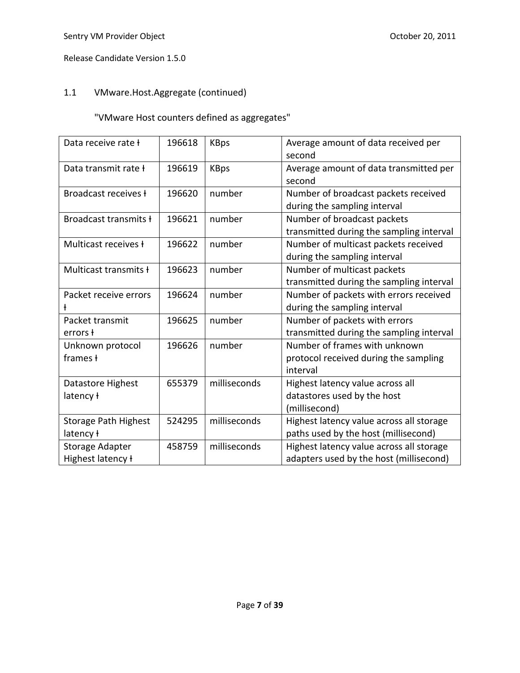# 1.1 VMware.Host.Aggregate (continued)

| Data receive rate f                      | 196618 | <b>KBps</b>  | Average amount of data received per<br>second                                       |
|------------------------------------------|--------|--------------|-------------------------------------------------------------------------------------|
| Data transmit rate ł                     | 196619 | <b>KBps</b>  | Average amount of data transmitted per<br>second                                    |
| Broadcast receives f                     | 196620 | number       | Number of broadcast packets received<br>during the sampling interval                |
| Broadcast transmits ł                    | 196621 | number       | Number of broadcast packets<br>transmitted during the sampling interval             |
| Multicast receives ł                     | 196622 | number       | Number of multicast packets received<br>during the sampling interval                |
| Multicast transmits ł                    | 196623 | number       | Number of multicast packets<br>transmitted during the sampling interval             |
| Packet receive errors                    | 196624 | number       | Number of packets with errors received<br>during the sampling interval              |
| Packet transmit<br>errors f              | 196625 | number       | Number of packets with errors<br>transmitted during the sampling interval           |
| Unknown protocol<br>frames +             | 196626 | number       | Number of frames with unknown<br>protocol received during the sampling<br>interval  |
| Datastore Highest<br>latency ł           | 655379 | milliseconds | Highest latency value across all<br>datastores used by the host<br>(millisecond)    |
| <b>Storage Path Highest</b><br>latency ł | 524295 | milliseconds | Highest latency value across all storage<br>paths used by the host (millisecond)    |
| Storage Adapter<br>Highest latency ł     | 458759 | milliseconds | Highest latency value across all storage<br>adapters used by the host (millisecond) |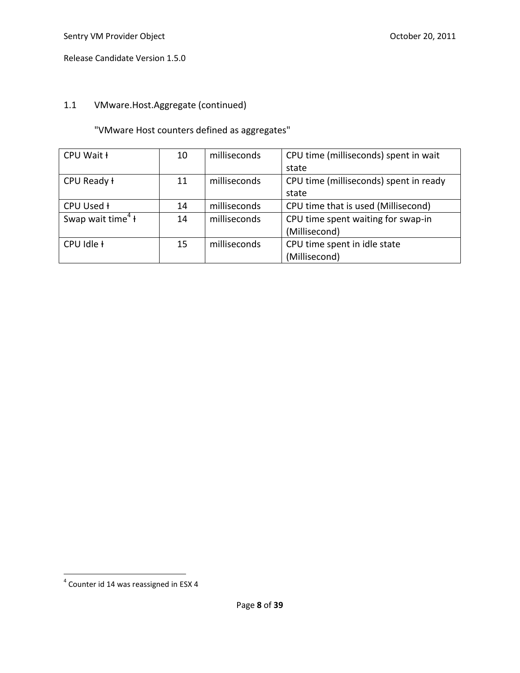# 1.1 VMware.Host.Aggregate (continued)

| CPU Wait +                    | 10 | milliseconds | CPU time (milliseconds) spent in wait  |
|-------------------------------|----|--------------|----------------------------------------|
|                               |    |              | state                                  |
| CPU Ready ł                   | 11 | milliseconds | CPU time (milliseconds) spent in ready |
|                               |    |              | state                                  |
| CPU Used H                    | 14 | milliseconds | CPU time that is used (Millisecond)    |
| Swap wait time <sup>4</sup> t | 14 | milliseconds | CPU time spent waiting for swap-in     |
|                               |    |              | (Millisecond)                          |
| CPU Idle +                    | 15 | milliseconds | CPU time spent in idle state           |
|                               |    |              | (Millisecond)                          |

 4 Counter id 14 was reassigned in ESX 4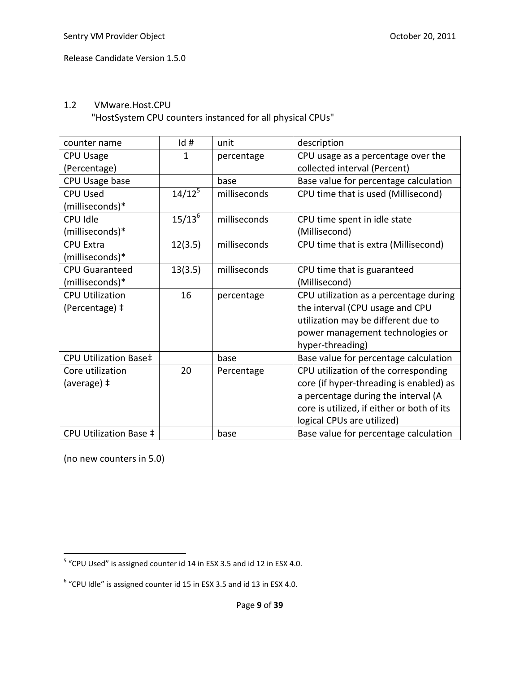### 1.2 VMware.Host.CPU

"HostSystem CPU counters instanced for all physical CPUs"

| counter name           | Id #        | unit         | description                                |
|------------------------|-------------|--------------|--------------------------------------------|
| <b>CPU Usage</b>       | 1           | percentage   | CPU usage as a percentage over the         |
| (Percentage)           |             |              | collected interval (Percent)               |
| CPU Usage base         |             | base         | Base value for percentage calculation      |
| <b>CPU Used</b>        | $14/12^5$   | milliseconds | CPU time that is used (Millisecond)        |
| (milliseconds)*        |             |              |                                            |
| CPU Idle               | $15/13^{6}$ | milliseconds | CPU time spent in idle state               |
| (milliseconds)*        |             |              | (Millisecond)                              |
| <b>CPU Extra</b>       | 12(3.5)     | milliseconds | CPU time that is extra (Millisecond)       |
| (milliseconds)*        |             |              |                                            |
| <b>CPU Guaranteed</b>  | 13(3.5)     | milliseconds | CPU time that is guaranteed                |
| (milliseconds)*        |             |              | (Millisecond)                              |
| <b>CPU Utilization</b> | 16          | percentage   | CPU utilization as a percentage during     |
| (Percentage) ‡         |             |              | the interval (CPU usage and CPU            |
|                        |             |              | utilization may be different due to        |
|                        |             |              | power management technologies or           |
|                        |             |              | hyper-threading)                           |
| CPU Utilization Base‡  |             | base         | Base value for percentage calculation      |
| Core utilization       | 20          | Percentage   | CPU utilization of the corresponding       |
| (average) ‡            |             |              | core (if hyper-threading is enabled) as    |
|                        |             |              | a percentage during the interval (A        |
|                        |             |              | core is utilized, if either or both of its |
|                        |             |              | logical CPUs are utilized)                 |
| CPU Utilization Base ‡ |             | base         | Base value for percentage calculation      |

 5 "CPU Used" is assigned counter id 14 in ESX 3.5 and id 12 in ESX 4.0.

 $6$  "CPU Idle" is assigned counter id 15 in ESX 3.5 and id 13 in ESX 4.0.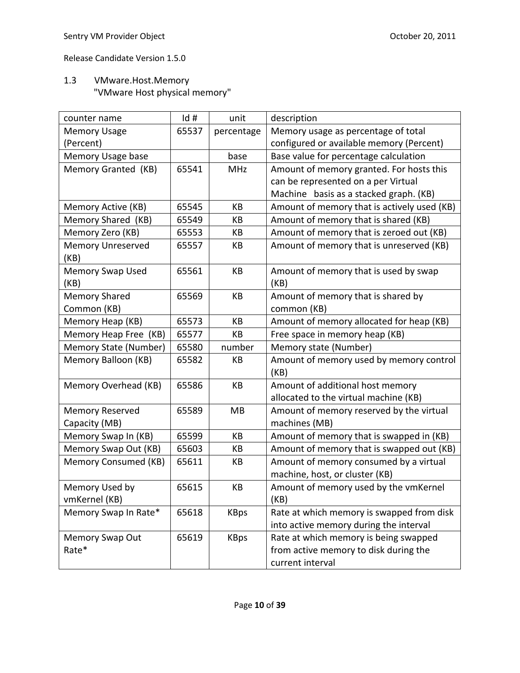# 1.3 VMware.Host.Memory "VMware Host physical memory"

| counter name             | Id#   | unit        | description                                 |
|--------------------------|-------|-------------|---------------------------------------------|
| <b>Memory Usage</b>      | 65537 | percentage  | Memory usage as percentage of total         |
| (Percent)                |       |             | configured or available memory (Percent)    |
| Memory Usage base        |       | base        | Base value for percentage calculation       |
| Memory Granted (KB)      | 65541 | <b>MHz</b>  | Amount of memory granted. For hosts this    |
|                          |       |             | can be represented on a per Virtual         |
|                          |       |             | Machine basis as a stacked graph. (KB)      |
| Memory Active (KB)       | 65545 | KB          | Amount of memory that is actively used (KB) |
| Memory Shared (KB)       | 65549 | КB          | Amount of memory that is shared (KB)        |
| Memory Zero (KB)         | 65553 | KB          | Amount of memory that is zeroed out (KB)    |
| <b>Memory Unreserved</b> | 65557 | KB          | Amount of memory that is unreserved (KB)    |
| (KB)                     |       |             |                                             |
| <b>Memory Swap Used</b>  | 65561 | KB          | Amount of memory that is used by swap       |
| (KB)                     |       |             | (KB)                                        |
| <b>Memory Shared</b>     | 65569 | KB          | Amount of memory that is shared by          |
| Common (KB)              |       |             | common (KB)                                 |
| Memory Heap (KB)         | 65573 | KB          | Amount of memory allocated for heap (KB)    |
| Memory Heap Free (KB)    | 65577 | КB          | Free space in memory heap (KB)              |
| Memory State (Number)    | 65580 | number      | Memory state (Number)                       |
| Memory Balloon (KB)      | 65582 | KB          | Amount of memory used by memory control     |
|                          |       |             | (KB)                                        |
| Memory Overhead (KB)     | 65586 | KB          | Amount of additional host memory            |
|                          |       |             | allocated to the virtual machine (KB)       |
| <b>Memory Reserved</b>   | 65589 | MB          | Amount of memory reserved by the virtual    |
| Capacity (MB)            |       |             | machines (MB)                               |
| Memory Swap In (KB)      | 65599 | КB          | Amount of memory that is swapped in (KB)    |
| Memory Swap Out (KB)     | 65603 | КB          | Amount of memory that is swapped out (KB)   |
| Memory Consumed (KB)     | 65611 | КB          | Amount of memory consumed by a virtual      |
|                          |       |             | machine, host, or cluster (KB)              |
| Memory Used by           | 65615 | КB          | Amount of memory used by the vmKernel       |
| vmKernel (KB)            |       |             | (KB)                                        |
| Memory Swap In Rate*     | 65618 | <b>KBps</b> | Rate at which memory is swapped from disk   |
|                          |       |             | into active memory during the interval      |
| <b>Memory Swap Out</b>   | 65619 | <b>KBps</b> | Rate at which memory is being swapped       |
| Rate*                    |       |             | from active memory to disk during the       |
|                          |       |             | current interval                            |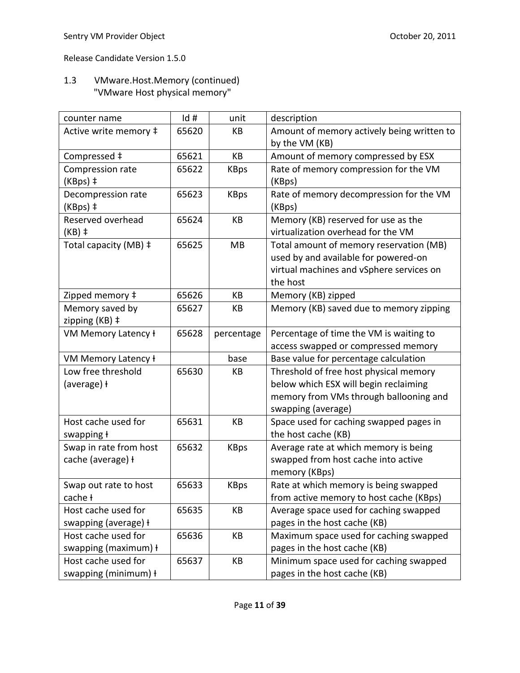# 1.3 VMware.Host.Memory (continued) "VMware Host physical memory"

| counter name           | Id#   | unit        | description                                |
|------------------------|-------|-------------|--------------------------------------------|
| Active write memory ‡  | 65620 | KB          | Amount of memory actively being written to |
|                        |       |             | by the VM (KB)                             |
| Compressed ‡           | 65621 | KB          | Amount of memory compressed by ESX         |
| Compression rate       | 65622 | <b>KBps</b> | Rate of memory compression for the VM      |
| (KBps) ‡               |       |             | (KBps)                                     |
| Decompression rate     | 65623 | <b>KBps</b> | Rate of memory decompression for the VM    |
| (KBps) ‡               |       |             | (KBps)                                     |
| Reserved overhead      | 65624 | KB          | Memory (KB) reserved for use as the        |
| $(KB)$ ‡               |       |             | virtualization overhead for the VM         |
| Total capacity (MB) ‡  | 65625 | MB          | Total amount of memory reservation (MB)    |
|                        |       |             | used by and available for powered-on       |
|                        |       |             | virtual machines and vSphere services on   |
|                        |       |             | the host                                   |
| Zipped memory ‡        | 65626 | KB          | Memory (KB) zipped                         |
| Memory saved by        | 65627 | КB          | Memory (KB) saved due to memory zipping    |
| zipping (KB) ‡         |       |             |                                            |
| VM Memory Latency ł    | 65628 | percentage  | Percentage of time the VM is waiting to    |
|                        |       |             | access swapped or compressed memory        |
| VM Memory Latency ł    |       | base        | Base value for percentage calculation      |
| Low free threshold     | 65630 | КB          | Threshold of free host physical memory     |
| (average) ł            |       |             | below which ESX will begin reclaiming      |
|                        |       |             | memory from VMs through ballooning and     |
|                        |       |             | swapping (average)                         |
| Host cache used for    | 65631 | KB          | Space used for caching swapped pages in    |
| swapping ł             |       |             | the host cache (KB)                        |
| Swap in rate from host | 65632 | <b>KBps</b> | Average rate at which memory is being      |
| cache (average) +      |       |             | swapped from host cache into active        |
|                        |       |             | memory (KBps)                              |
| Swap out rate to host  | 65633 | <b>KBps</b> | Rate at which memory is being swapped      |
| cache ł                |       |             | from active memory to host cache (KBps)    |
| Host cache used for    | 65635 | KB          | Average space used for caching swapped     |
| swapping (average) ł   |       |             | pages in the host cache (KB)               |
| Host cache used for    | 65636 | KB          | Maximum space used for caching swapped     |
| swapping (maximum) +   |       |             | pages in the host cache (KB)               |
| Host cache used for    | 65637 | KB          | Minimum space used for caching swapped     |
| swapping (minimum) +   |       |             | pages in the host cache (KB)               |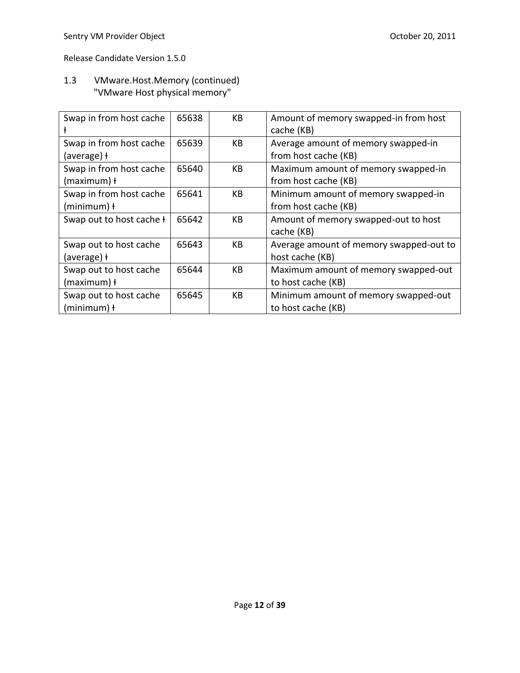# 1.3 VMware.Host.Memory (continued) "VMware Host physical memory"

| Swap in from host cache         | 65638 | KB | Amount of memory swapped-in from host<br>cache (KB) |
|---------------------------------|-------|----|-----------------------------------------------------|
| Swap in from host cache         | 65639 | KB | Average amount of memory swapped-in                 |
| (average) ł                     |       |    | from host cache (KB)                                |
| Swap in from host cache         | 65640 | KB | Maximum amount of memory swapped-in                 |
| (maximum) ł                     |       |    | from host cache (KB)                                |
| Swap in from host cache         | 65641 | KB | Minimum amount of memory swapped-in                 |
| $(minimum)$ +                   |       |    | from host cache (KB)                                |
| Swap out to host cache <b>f</b> | 65642 | KB | Amount of memory swapped-out to host                |
|                                 |       |    | cache (KB)                                          |
| Swap out to host cache          | 65643 | KB | Average amount of memory swapped-out to             |
| (average) ł                     |       |    | host cache (KB)                                     |
| Swap out to host cache          | 65644 | KB | Maximum amount of memory swapped-out                |
| (maximum) ł                     |       |    | to host cache (KB)                                  |
| Swap out to host cache          | 65645 | KB | Minimum amount of memory swapped-out                |
| $(minimum)$ +                   |       |    | to host cache (KB)                                  |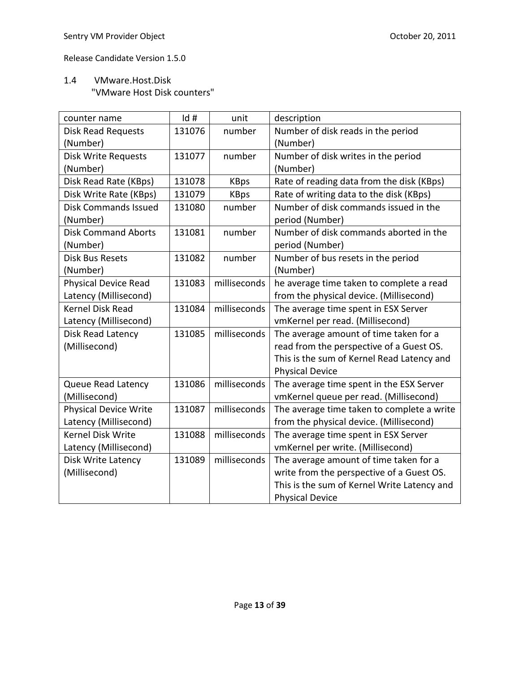# 1.4 VMware.Host.Disk "VMware Host Disk counters"

| counter name                 | Id#    | unit         | description                                 |
|------------------------------|--------|--------------|---------------------------------------------|
| <b>Disk Read Requests</b>    | 131076 | number       | Number of disk reads in the period          |
| (Number)                     |        |              | (Number)                                    |
| Disk Write Requests          | 131077 | number       | Number of disk writes in the period         |
| (Number)                     |        |              | (Number)                                    |
| Disk Read Rate (KBps)        | 131078 | <b>KBps</b>  | Rate of reading data from the disk (KBps)   |
| Disk Write Rate (KBps)       | 131079 | <b>KBps</b>  | Rate of writing data to the disk (KBps)     |
| <b>Disk Commands Issued</b>  | 131080 | number       | Number of disk commands issued in the       |
| (Number)                     |        |              | period (Number)                             |
| <b>Disk Command Aborts</b>   | 131081 | number       | Number of disk commands aborted in the      |
| (Number)                     |        |              | period (Number)                             |
| <b>Disk Bus Resets</b>       | 131082 | number       | Number of bus resets in the period          |
| (Number)                     |        |              | (Number)                                    |
| <b>Physical Device Read</b>  | 131083 | milliseconds | he average time taken to complete a read    |
| Latency (Millisecond)        |        |              | from the physical device. (Millisecond)     |
| <b>Kernel Disk Read</b>      | 131084 | milliseconds | The average time spent in ESX Server        |
| Latency (Millisecond)        |        |              | vmKernel per read. (Millisecond)            |
| Disk Read Latency            | 131085 | milliseconds | The average amount of time taken for a      |
| (Millisecond)                |        |              | read from the perspective of a Guest OS.    |
|                              |        |              | This is the sum of Kernel Read Latency and  |
|                              |        |              | <b>Physical Device</b>                      |
| Queue Read Latency           | 131086 | milliseconds | The average time spent in the ESX Server    |
| (Millisecond)                |        |              | vmKernel queue per read. (Millisecond)      |
| <b>Physical Device Write</b> | 131087 | milliseconds | The average time taken to complete a write  |
| Latency (Millisecond)        |        |              | from the physical device. (Millisecond)     |
| <b>Kernel Disk Write</b>     | 131088 | milliseconds | The average time spent in ESX Server        |
| Latency (Millisecond)        |        |              | vmKernel per write. (Millisecond)           |
| Disk Write Latency           | 131089 | milliseconds | The average amount of time taken for a      |
| (Millisecond)                |        |              | write from the perspective of a Guest OS.   |
|                              |        |              | This is the sum of Kernel Write Latency and |
|                              |        |              | <b>Physical Device</b>                      |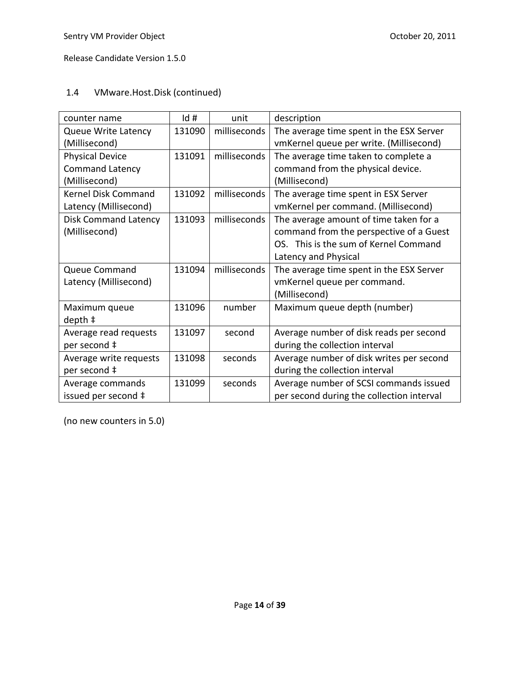### 1.4 VMware.Host.Disk (continued)

| counter name                | Id#    | unit         | description                               |
|-----------------------------|--------|--------------|-------------------------------------------|
| <b>Queue Write Latency</b>  | 131090 | milliseconds | The average time spent in the ESX Server  |
| (Millisecond)               |        |              | vmKernel queue per write. (Millisecond)   |
| <b>Physical Device</b>      | 131091 | milliseconds | The average time taken to complete a      |
| <b>Command Latency</b>      |        |              | command from the physical device.         |
| (Millisecond)               |        |              | (Millisecond)                             |
| <b>Kernel Disk Command</b>  | 131092 | milliseconds | The average time spent in ESX Server      |
| Latency (Millisecond)       |        |              | vmKernel per command. (Millisecond)       |
| <b>Disk Command Latency</b> | 131093 | milliseconds | The average amount of time taken for a    |
| (Millisecond)               |        |              | command from the perspective of a Guest   |
|                             |        |              | OS. This is the sum of Kernel Command     |
|                             |        |              | Latency and Physical                      |
| Queue Command               | 131094 | milliseconds | The average time spent in the ESX Server  |
| Latency (Millisecond)       |        |              | vmKernel queue per command.               |
|                             |        |              | (Millisecond)                             |
| Maximum queue               | 131096 | number       | Maximum queue depth (number)              |
| $depth +$                   |        |              |                                           |
| Average read requests       | 131097 | second       | Average number of disk reads per second   |
| per second ‡                |        |              | during the collection interval            |
| Average write requests      | 131098 | seconds      | Average number of disk writes per second  |
| per second ‡                |        |              | during the collection interval            |
| Average commands            | 131099 | seconds      | Average number of SCSI commands issued    |
| issued per second ‡         |        |              | per second during the collection interval |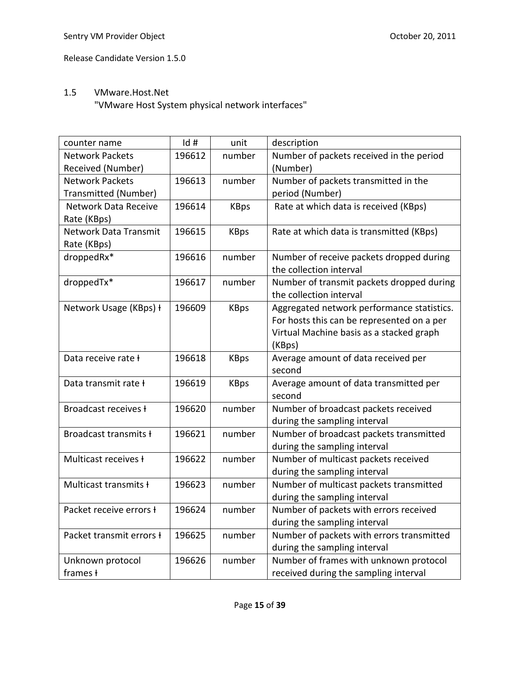### 1.5 VMware.Host.Net

"VMware Host System physical network interfaces"

| counter name                   | Id#    | unit        | description                                |
|--------------------------------|--------|-------------|--------------------------------------------|
| <b>Network Packets</b>         | 196612 | number      | Number of packets received in the period   |
| Received (Number)              |        |             | (Number)                                   |
| <b>Network Packets</b>         | 196613 | number      | Number of packets transmitted in the       |
| Transmitted (Number)           |        |             | period (Number)                            |
| Network Data Receive           | 196614 | <b>KBps</b> | Rate at which data is received (KBps)      |
| Rate (KBps)                    |        |             |                                            |
| <b>Network Data Transmit</b>   | 196615 | <b>KBps</b> | Rate at which data is transmitted (KBps)   |
| Rate (KBps)                    |        |             |                                            |
| droppedRx*                     | 196616 | number      | Number of receive packets dropped during   |
|                                |        |             | the collection interval                    |
| droppedTx*                     | 196617 | number      | Number of transmit packets dropped during  |
|                                |        |             | the collection interval                    |
| Network Usage (KBps) +         | 196609 | <b>KBps</b> | Aggregated network performance statistics. |
|                                |        |             | For hosts this can be represented on a per |
|                                |        |             | Virtual Machine basis as a stacked graph   |
|                                |        |             | (KBps)                                     |
| Data receive rate ł            | 196618 | <b>KBps</b> | Average amount of data received per        |
|                                |        |             | second                                     |
| Data transmit rate ł           | 196619 | <b>KBps</b> | Average amount of data transmitted per     |
|                                |        |             | second                                     |
| Broadcast receives ł           | 196620 | number      | Number of broadcast packets received       |
|                                |        |             | during the sampling interval               |
| Broadcast transmits ł          | 196621 | number      | Number of broadcast packets transmitted    |
|                                |        |             | during the sampling interval               |
| Multicast receives <b>H</b>    | 196622 | number      | Number of multicast packets received       |
|                                |        |             | during the sampling interval               |
| Multicast transmits ł          | 196623 | number      | Number of multicast packets transmitted    |
|                                |        |             | during the sampling interval               |
| Packet receive errors <b>t</b> | 196624 | number      | Number of packets with errors received     |
|                                |        |             | during the sampling interval               |
| Packet transmit errors +       | 196625 | number      | Number of packets with errors transmitted  |
|                                |        |             | during the sampling interval               |
| Unknown protocol               | 196626 | number      | Number of frames with unknown protocol     |
| frames ł                       |        |             | received during the sampling interval      |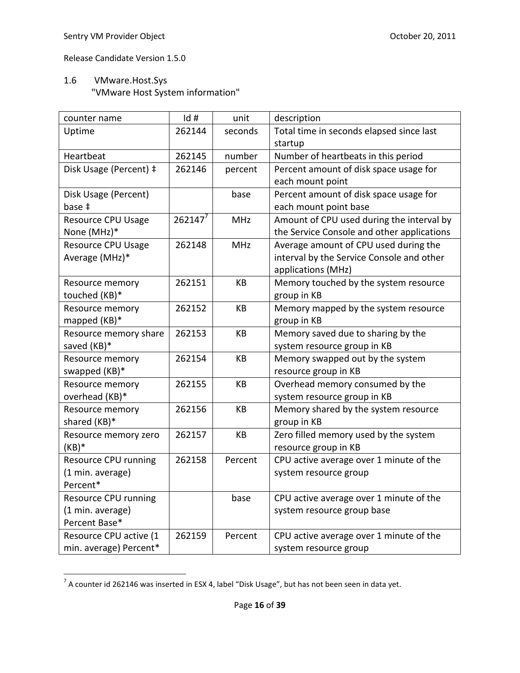# 1.6 VMware.Host.Sys "VMware Host System information"

| counter name              | Id#        | unit       | description                                |
|---------------------------|------------|------------|--------------------------------------------|
| Uptime                    | 262144     | seconds    | Total time in seconds elapsed since last   |
|                           |            |            | startup                                    |
| Heartbeat                 | 262145     | number     | Number of heartbeats in this period        |
| Disk Usage (Percent) ‡    | 262146     | percent    | Percent amount of disk space usage for     |
|                           |            |            | each mount point                           |
| Disk Usage (Percent)      |            | base       | Percent amount of disk space usage for     |
| base ‡                    |            |            | each mount point base                      |
| <b>Resource CPU Usage</b> | $262147^7$ | <b>MHz</b> | Amount of CPU used during the interval by  |
| None (MHz)*               |            |            | the Service Console and other applications |
| <b>Resource CPU Usage</b> | 262148     | <b>MHz</b> | Average amount of CPU used during the      |
| Average (MHz)*            |            |            | interval by the Service Console and other  |
|                           |            |            | applications (MHz)                         |
| Resource memory           | 262151     | KB         | Memory touched by the system resource      |
| touched (KB)*             |            |            | group in KB                                |
| Resource memory           | 262152     | <b>KB</b>  | Memory mapped by the system resource       |
| mapped (KB)*              |            |            | group in KB                                |
| Resource memory share     | 262153     | KB         | Memory saved due to sharing by the         |
| saved (KB)*               |            |            | system resource group in KB                |
| Resource memory           | 262154     | KB         | Memory swapped out by the system           |
| swapped (KB)*             |            |            | resource group in KB                       |
| Resource memory           | 262155     | KB         | Overhead memory consumed by the            |
| overhead (KB)*            |            |            | system resource group in KB                |
| Resource memory           | 262156     | KB         | Memory shared by the system resource       |
| shared (KB)*              |            |            | group in KB                                |
| Resource memory zero      | 262157     | KB         | Zero filled memory used by the system      |
| $(KB)*$                   |            |            | resource group in KB                       |
| Resource CPU running      | 262158     | Percent    | CPU active average over 1 minute of the    |
| (1 min. average)          |            |            | system resource group                      |
| Percent*                  |            |            |                                            |
| Resource CPU running      |            | base       | CPU active average over 1 minute of the    |
| (1 min. average)          |            |            | system resource group base                 |
| Percent Base*             |            |            |                                            |
| Resource CPU active (1    | 262159     | Percent    | CPU active average over 1 minute of the    |
| min. average) Percent*    |            |            | system resource group                      |

 7 A counter id 262146 was inserted in ESX 4, label "Disk Usage", but has not been seen in data yet.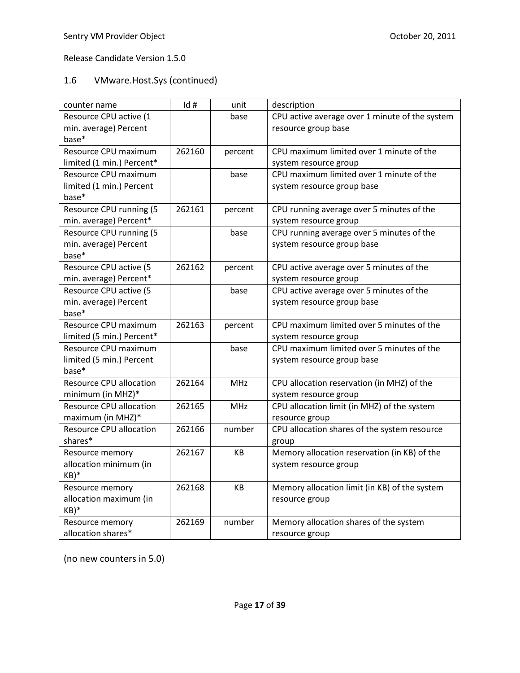# 1.6 VMware.Host.Sys (continued)

| counter name                   | Id#    | unit       | description                                    |
|--------------------------------|--------|------------|------------------------------------------------|
| Resource CPU active (1         |        | base       | CPU active average over 1 minute of the system |
| min. average) Percent          |        |            | resource group base                            |
| base*                          |        |            |                                                |
| Resource CPU maximum           | 262160 | percent    | CPU maximum limited over 1 minute of the       |
| limited (1 min.) Percent*      |        |            | system resource group                          |
| Resource CPU maximum           |        | base       | CPU maximum limited over 1 minute of the       |
| limited (1 min.) Percent       |        |            | system resource group base                     |
| base*                          |        |            |                                                |
| Resource CPU running (5        | 262161 | percent    | CPU running average over 5 minutes of the      |
| min. average) Percent*         |        |            | system resource group                          |
| Resource CPU running (5        |        | base       | CPU running average over 5 minutes of the      |
| min. average) Percent          |        |            | system resource group base                     |
| base*                          |        |            |                                                |
| Resource CPU active (5         | 262162 | percent    | CPU active average over 5 minutes of the       |
| min. average) Percent*         |        |            | system resource group                          |
| Resource CPU active (5         |        | base       | CPU active average over 5 minutes of the       |
| min. average) Percent          |        |            | system resource group base                     |
| base*                          |        |            |                                                |
| Resource CPU maximum           | 262163 | percent    | CPU maximum limited over 5 minutes of the      |
| limited (5 min.) Percent*      |        |            | system resource group                          |
| Resource CPU maximum           |        | base       | CPU maximum limited over 5 minutes of the      |
| limited (5 min.) Percent       |        |            | system resource group base                     |
| base*                          |        |            |                                                |
| <b>Resource CPU allocation</b> | 262164 | <b>MHz</b> | CPU allocation reservation (in MHZ) of the     |
| minimum (in MHZ)*              |        |            | system resource group                          |
| <b>Resource CPU allocation</b> | 262165 | <b>MHz</b> | CPU allocation limit (in MHZ) of the system    |
| maximum (in MHZ)*              |        |            | resource group                                 |
| Resource CPU allocation        | 262166 | number     | CPU allocation shares of the system resource   |
| shares*                        |        |            | group                                          |
| Resource memory                | 262167 | KB.        | Memory allocation reservation (in KB) of the   |
| allocation minimum (in         |        |            | system resource group                          |
| $KB)*$                         |        |            |                                                |
| Resource memory                | 262168 | KB         | Memory allocation limit (in KB) of the system  |
| allocation maximum (in         |        |            | resource group                                 |
| $KB)*$                         |        |            |                                                |
| Resource memory                | 262169 | number     | Memory allocation shares of the system         |
| allocation shares*             |        |            | resource group                                 |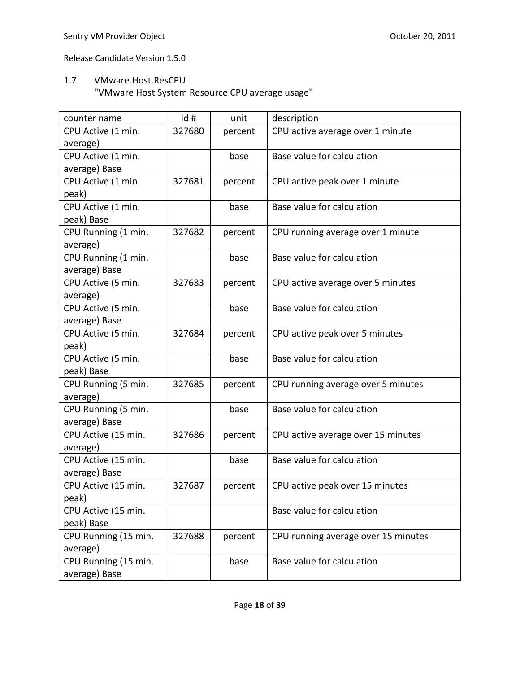### 1.7 VMware.Host.ResCPU

"VMware Host System Resource CPU average usage"

| counter name         | Id#    | unit    | description                         |
|----------------------|--------|---------|-------------------------------------|
| CPU Active (1 min.   | 327680 | percent | CPU active average over 1 minute    |
| average)             |        |         |                                     |
| CPU Active (1 min.   |        | base    | Base value for calculation          |
| average) Base        |        |         |                                     |
| CPU Active (1 min.   | 327681 | percent | CPU active peak over 1 minute       |
| peak)                |        |         |                                     |
| CPU Active (1 min.   |        | base    | Base value for calculation          |
| peak) Base           |        |         |                                     |
| CPU Running (1 min.  | 327682 | percent | CPU running average over 1 minute   |
| average)             |        |         |                                     |
| CPU Running (1 min.  |        | base    | Base value for calculation          |
| average) Base        |        |         |                                     |
| CPU Active (5 min.   | 327683 | percent | CPU active average over 5 minutes   |
| average)             |        |         |                                     |
| CPU Active (5 min.   |        | base    | Base value for calculation          |
| average) Base        |        |         |                                     |
| CPU Active (5 min.   | 327684 | percent | CPU active peak over 5 minutes      |
| peak)                |        |         |                                     |
| CPU Active (5 min.   |        | base    | Base value for calculation          |
| peak) Base           |        |         |                                     |
| CPU Running (5 min.  | 327685 | percent | CPU running average over 5 minutes  |
| average)             |        |         |                                     |
| CPU Running (5 min.  |        | base    | Base value for calculation          |
| average) Base        |        |         |                                     |
| CPU Active (15 min.  | 327686 | percent | CPU active average over 15 minutes  |
| average)             |        |         |                                     |
| CPU Active (15 min.  |        | base    | Base value for calculation          |
| average) Base        |        |         |                                     |
| CPU Active (15 min.  | 327687 | percent | CPU active peak over 15 minutes     |
| peak)                |        |         |                                     |
| CPU Active (15 min.  |        |         | Base value for calculation          |
| peak) Base           |        |         |                                     |
| CPU Running (15 min. | 327688 | percent | CPU running average over 15 minutes |
| average)             |        |         |                                     |
| CPU Running (15 min. |        | base    | Base value for calculation          |
| average) Base        |        |         |                                     |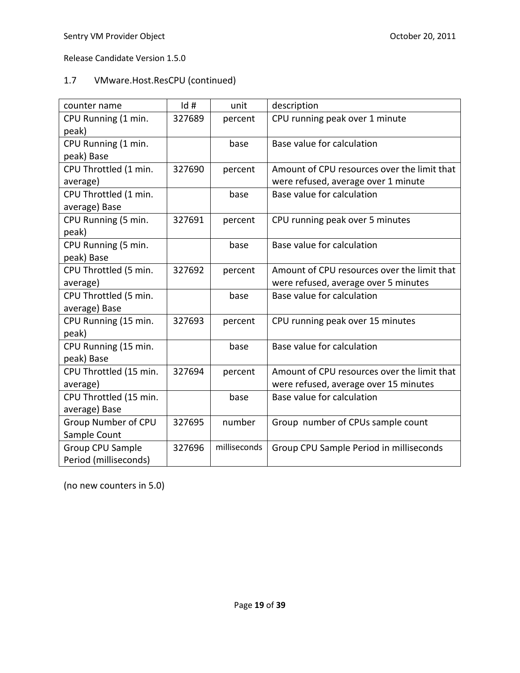# 1.7 VMware.Host.ResCPU (continued)

| counter name            | Id#    | unit         | description                                 |
|-------------------------|--------|--------------|---------------------------------------------|
| CPU Running (1 min.     | 327689 | percent      | CPU running peak over 1 minute              |
| peak)                   |        |              |                                             |
| CPU Running (1 min.     |        | base         | Base value for calculation                  |
| peak) Base              |        |              |                                             |
| CPU Throttled (1 min.   | 327690 | percent      | Amount of CPU resources over the limit that |
| average)                |        |              | were refused, average over 1 minute         |
| CPU Throttled (1 min.   |        | base         | Base value for calculation                  |
| average) Base           |        |              |                                             |
| CPU Running (5 min.     | 327691 | percent      | CPU running peak over 5 minutes             |
| peak)                   |        |              |                                             |
| CPU Running (5 min.     |        | base         | Base value for calculation                  |
| peak) Base              |        |              |                                             |
| CPU Throttled (5 min.   | 327692 | percent      | Amount of CPU resources over the limit that |
| average)                |        |              | were refused, average over 5 minutes        |
| CPU Throttled (5 min.   |        | base         | Base value for calculation                  |
| average) Base           |        |              |                                             |
| CPU Running (15 min.    | 327693 | percent      | CPU running peak over 15 minutes            |
| peak)                   |        |              |                                             |
| CPU Running (15 min.    |        | base         | Base value for calculation                  |
| peak) Base              |        |              |                                             |
| CPU Throttled (15 min.  | 327694 | percent      | Amount of CPU resources over the limit that |
| average)                |        |              | were refused, average over 15 minutes       |
| CPU Throttled (15 min.  |        | base         | Base value for calculation                  |
| average) Base           |        |              |                                             |
| Group Number of CPU     | 327695 | number       | Group number of CPUs sample count           |
| Sample Count            |        |              |                                             |
| <b>Group CPU Sample</b> | 327696 | milliseconds | Group CPU Sample Period in milliseconds     |
| Period (milliseconds)   |        |              |                                             |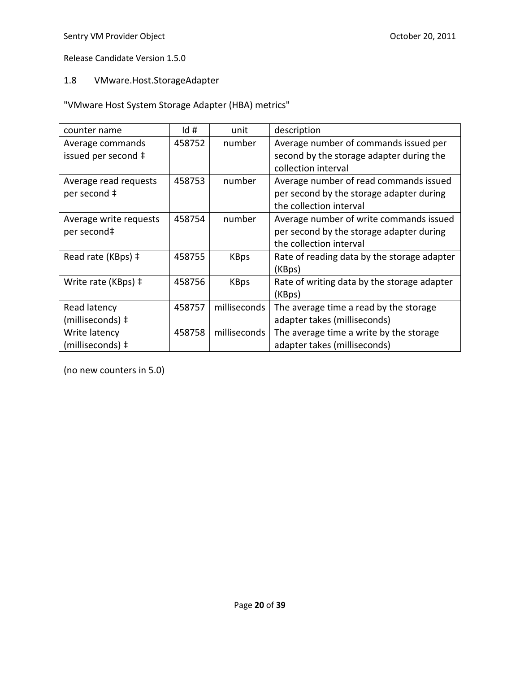# 1.8 VMware.Host.StorageAdapter

"VMware Host System Storage Adapter (HBA) metrics"

| counter name           | Id#    | unit         | description                                 |
|------------------------|--------|--------------|---------------------------------------------|
| Average commands       | 458752 | number       | Average number of commands issued per       |
| issued per second ‡    |        |              | second by the storage adapter during the    |
|                        |        |              | collection interval                         |
| Average read requests  | 458753 | number       | Average number of read commands issued      |
| per second ‡           |        |              | per second by the storage adapter during    |
|                        |        |              | the collection interval                     |
| Average write requests | 458754 | number       | Average number of write commands issued     |
| per second‡            |        |              | per second by the storage adapter during    |
|                        |        |              | the collection interval                     |
| Read rate (KBps) ‡     | 458755 | <b>KBps</b>  | Rate of reading data by the storage adapter |
|                        |        |              | (KBps)                                      |
| Write rate (KBps) ‡    | 458756 | <b>KBps</b>  | Rate of writing data by the storage adapter |
|                        |        |              | (KBps)                                      |
| Read latency           | 458757 | milliseconds | The average time a read by the storage      |
| (milliseconds) ‡       |        |              | adapter takes (milliseconds)                |
| Write latency          | 458758 | milliseconds | The average time a write by the storage     |
| (milliseconds) ‡       |        |              | adapter takes (milliseconds)                |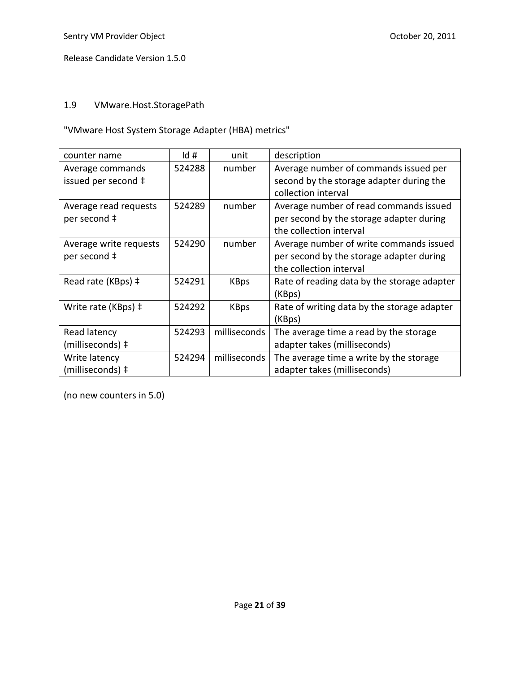# 1.9 VMware.Host.StoragePath

"VMware Host System Storage Adapter (HBA) metrics"

| counter name                            | Id#    | unit         | description                                                                                                    |
|-----------------------------------------|--------|--------------|----------------------------------------------------------------------------------------------------------------|
| Average commands<br>issued per second ‡ | 524288 | number       | Average number of commands issued per<br>second by the storage adapter during the<br>collection interval       |
| Average read requests<br>per second ‡   | 524289 | number       | Average number of read commands issued<br>per second by the storage adapter during<br>the collection interval  |
| Average write requests<br>per second ‡  | 524290 | number       | Average number of write commands issued<br>per second by the storage adapter during<br>the collection interval |
| Read rate (KBps) ‡                      | 524291 | <b>KBps</b>  | Rate of reading data by the storage adapter<br>(KBps)                                                          |
| Write rate (KBps) ‡                     | 524292 | <b>KBps</b>  | Rate of writing data by the storage adapter<br>(KBps)                                                          |
| Read latency                            | 524293 | milliseconds | The average time a read by the storage                                                                         |
| (milliseconds) ‡                        |        |              | adapter takes (milliseconds)                                                                                   |
| Write latency                           | 524294 | milliseconds | The average time a write by the storage                                                                        |
| (milliseconds) ‡                        |        |              | adapter takes (milliseconds)                                                                                   |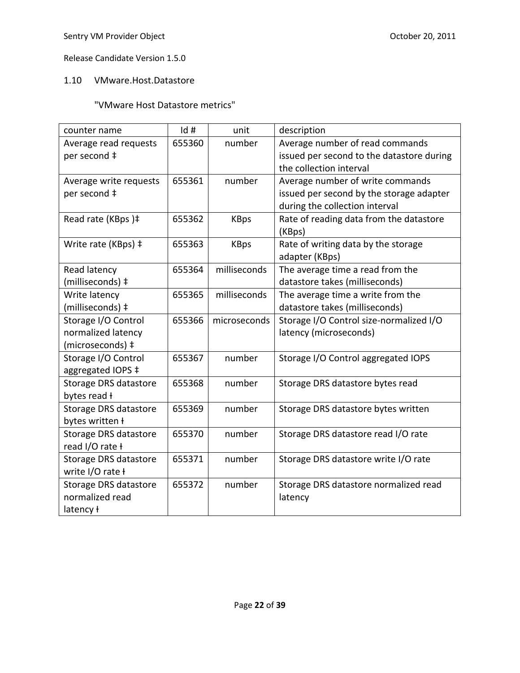### 1.10 VMware.Host.Datastore

# "VMware Host Datastore metrics"

| counter name           | Id#    | unit         | description                               |
|------------------------|--------|--------------|-------------------------------------------|
| Average read requests  | 655360 | number       | Average number of read commands           |
| per second ‡           |        |              | issued per second to the datastore during |
|                        |        |              | the collection interval                   |
| Average write requests | 655361 | number       | Average number of write commands          |
| per second ‡           |        |              | issued per second by the storage adapter  |
|                        |        |              | during the collection interval            |
| Read rate (KBps)#      | 655362 | <b>KBps</b>  | Rate of reading data from the datastore   |
|                        |        |              | (KBps)                                    |
| Write rate (KBps) ‡    | 655363 | <b>KBps</b>  | Rate of writing data by the storage       |
|                        |        |              | adapter (KBps)                            |
| Read latency           | 655364 | milliseconds | The average time a read from the          |
| (milliseconds) ‡       |        |              | datastore takes (milliseconds)            |
| Write latency          | 655365 | milliseconds | The average time a write from the         |
| (milliseconds) ‡       |        |              | datastore takes (milliseconds)            |
| Storage I/O Control    | 655366 | microseconds | Storage I/O Control size-normalized I/O   |
| normalized latency     |        |              | latency (microseconds)                    |
| (microseconds) ‡       |        |              |                                           |
| Storage I/O Control    | 655367 | number       | Storage I/O Control aggregated IOPS       |
| aggregated IOPS ‡      |        |              |                                           |
| Storage DRS datastore  | 655368 | number       | Storage DRS datastore bytes read          |
| bytes read +           |        |              |                                           |
| Storage DRS datastore  | 655369 | number       | Storage DRS datastore bytes written       |
| bytes written ł        |        |              |                                           |
| Storage DRS datastore  | 655370 | number       | Storage DRS datastore read I/O rate       |
| read I/O rate ł        |        |              |                                           |
| Storage DRS datastore  | 655371 | number       | Storage DRS datastore write I/O rate      |
| write I/O rate ł       |        |              |                                           |
| Storage DRS datastore  | 655372 | number       | Storage DRS datastore normalized read     |
| normalized read        |        |              | latency                                   |
| latency ł              |        |              |                                           |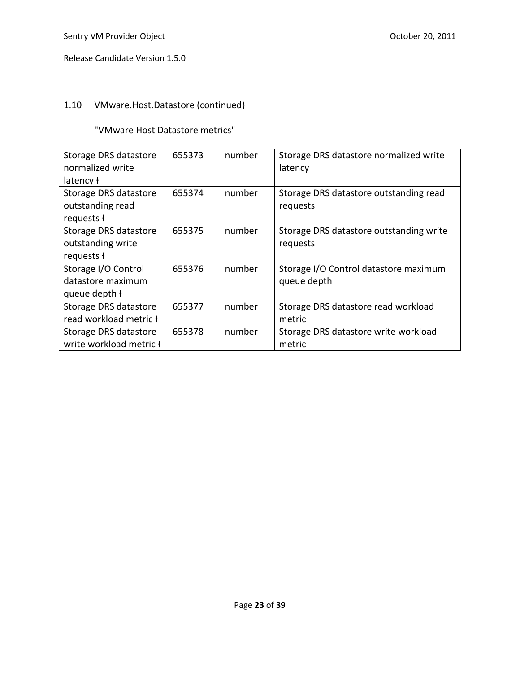# 1.10 VMware.Host.Datastore (continued)

"VMware Host Datastore metrics"

| Storage DRS datastore<br>normalized write | 655373 | number | Storage DRS datastore normalized write<br>latency |
|-------------------------------------------|--------|--------|---------------------------------------------------|
| latency ł                                 |        |        |                                                   |
| Storage DRS datastore                     | 655374 | number | Storage DRS datastore outstanding read            |
| outstanding read                          |        |        | requests                                          |
| requests +                                |        |        |                                                   |
| Storage DRS datastore                     | 655375 | number | Storage DRS datastore outstanding write           |
| outstanding write                         |        |        | requests                                          |
| requests +                                |        |        |                                                   |
| Storage I/O Control                       | 655376 | number | Storage I/O Control datastore maximum             |
| datastore maximum                         |        |        | queue depth                                       |
| queue depth +                             |        |        |                                                   |
| Storage DRS datastore                     | 655377 | number | Storage DRS datastore read workload               |
| read workload metric +                    |        |        | metric                                            |
| Storage DRS datastore                     | 655378 | number | Storage DRS datastore write workload              |
| write workload metric <b>t</b>            |        |        | metric                                            |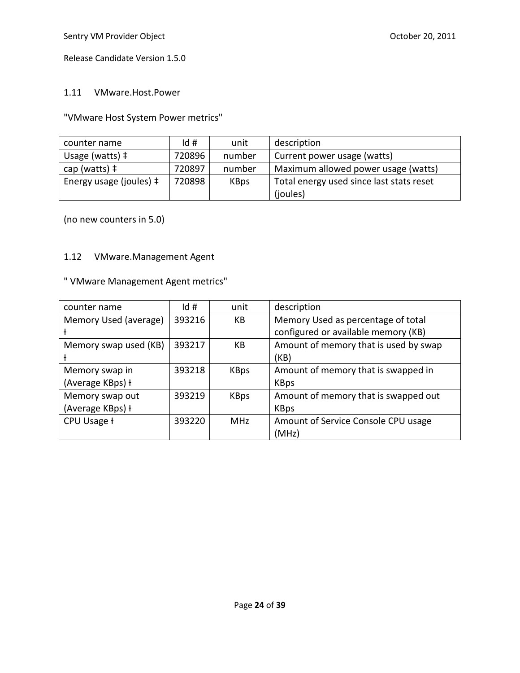#### 1.11 VMware.Host.Power

"VMware Host System Power metrics"

| counter name                     | Id#    | unit        | description                              |
|----------------------------------|--------|-------------|------------------------------------------|
| Usage (watts) $\ddagger$         | 720896 | number      | Current power usage (watts)              |
| cap (watts) $\ddagger$           | 720897 | number      | Maximum allowed power usage (watts)      |
| Energy usage (joules) $\ddagger$ | 720898 | <b>KBps</b> | Total energy used since last stats reset |
|                                  |        |             | (joules)                                 |

(no new counters in 5.0)

#### 1.12 VMware.Management Agent

# " VMware Management Agent metrics"

| counter name          | Id#    | unit        | description                           |
|-----------------------|--------|-------------|---------------------------------------|
| Memory Used (average) | 393216 | KB          | Memory Used as percentage of total    |
|                       |        |             | configured or available memory (KB)   |
| Memory swap used (KB) | 393217 | KB          | Amount of memory that is used by swap |
|                       |        |             | (KB)                                  |
| Memory swap in        | 393218 | <b>KBps</b> | Amount of memory that is swapped in   |
| (Average KBps) +      |        |             | <b>KBps</b>                           |
| Memory swap out       | 393219 | <b>KBps</b> | Amount of memory that is swapped out  |
| (Average KBps) +      |        |             | <b>KBps</b>                           |
| CPU Usage ł           | 393220 | <b>MHz</b>  | Amount of Service Console CPU usage   |
|                       |        |             | (MHz)                                 |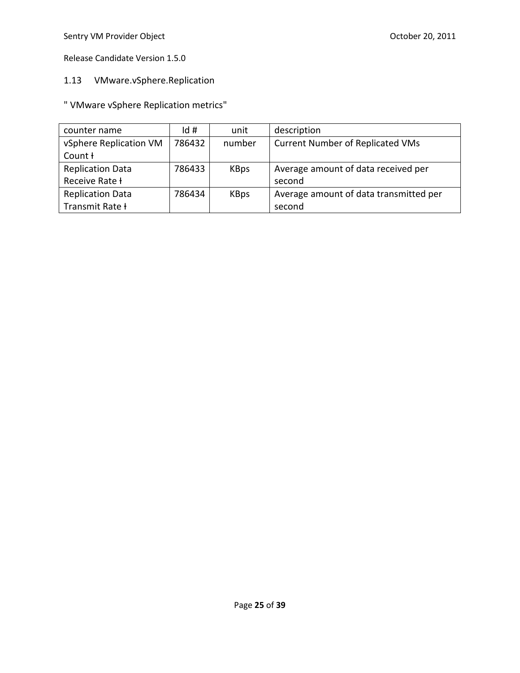# 1.13 VMware.vSphere.Replication

" VMware vSphere Replication metrics"

| counter name            | Id#    | unit        | description                             |
|-------------------------|--------|-------------|-----------------------------------------|
| vSphere Replication VM  | 786432 | number      | <b>Current Number of Replicated VMs</b> |
| Count H                 |        |             |                                         |
| <b>Replication Data</b> | 786433 | <b>KBps</b> | Average amount of data received per     |
| Receive Rate <b>H</b>   |        |             | second                                  |
| <b>Replication Data</b> | 786434 | <b>KBps</b> | Average amount of data transmitted per  |
| Transmit Rate +         |        |             | second                                  |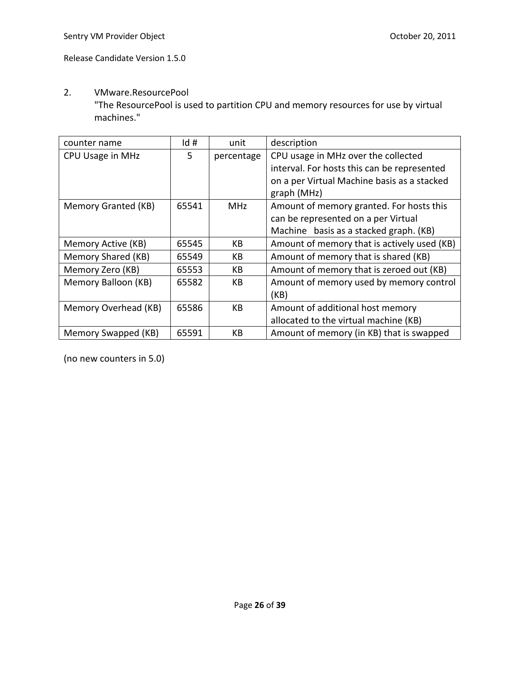#### 2. VMware.ResourcePool

"The ResourcePool is used to partition CPU and memory resources for use by virtual machines."

| counter name         | Id#   | unit       | description                                 |
|----------------------|-------|------------|---------------------------------------------|
| CPU Usage in MHz     | 5     | percentage | CPU usage in MHz over the collected         |
|                      |       |            | interval. For hosts this can be represented |
|                      |       |            | on a per Virtual Machine basis as a stacked |
|                      |       |            | graph (MHz)                                 |
| Memory Granted (KB)  | 65541 | <b>MHz</b> | Amount of memory granted. For hosts this    |
|                      |       |            | can be represented on a per Virtual         |
|                      |       |            | Machine basis as a stacked graph. (KB)      |
| Memory Active (KB)   | 65545 | КB         | Amount of memory that is actively used (KB) |
| Memory Shared (KB)   | 65549 | KB         | Amount of memory that is shared (KB)        |
| Memory Zero (KB)     | 65553 | KB         | Amount of memory that is zeroed out (KB)    |
| Memory Balloon (KB)  | 65582 | КB         | Amount of memory used by memory control     |
|                      |       |            | (KB)                                        |
| Memory Overhead (KB) | 65586 | <b>KB</b>  | Amount of additional host memory            |
|                      |       |            | allocated to the virtual machine (KB)       |
| Memory Swapped (KB)  | 65591 | КB         | Amount of memory (in KB) that is swapped    |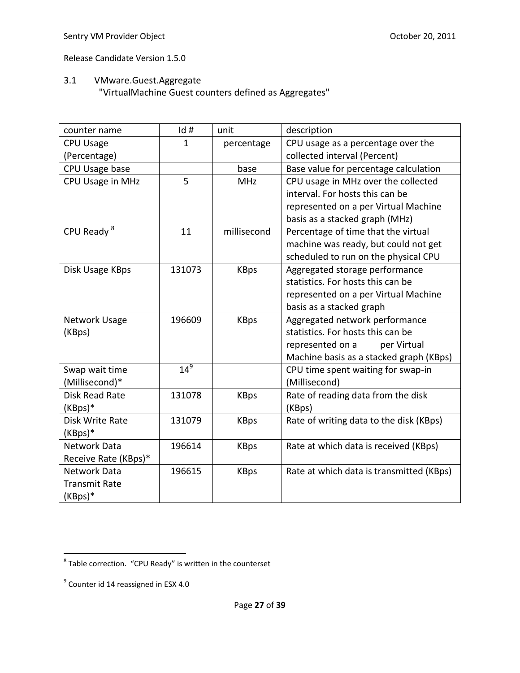# 3.1 VMware.Guest.Aggregate

"VirtualMachine Guest counters defined as Aggregates"

| counter name         | Id#    | unit        | description                              |
|----------------------|--------|-------------|------------------------------------------|
| <b>CPU Usage</b>     | 1      | percentage  | CPU usage as a percentage over the       |
| (Percentage)         |        |             | collected interval (Percent)             |
| CPU Usage base       |        | base        | Base value for percentage calculation    |
| CPU Usage in MHz     | 5      | <b>MHz</b>  | CPU usage in MHz over the collected      |
|                      |        |             | interval. For hosts this can be          |
|                      |        |             | represented on a per Virtual Machine     |
|                      |        |             | basis as a stacked graph (MHz)           |
| CPU Ready $8$        | 11     | millisecond | Percentage of time that the virtual      |
|                      |        |             | machine was ready, but could not get     |
|                      |        |             | scheduled to run on the physical CPU     |
| Disk Usage KBps      | 131073 | <b>KBps</b> | Aggregated storage performance           |
|                      |        |             | statistics. For hosts this can be        |
|                      |        |             | represented on a per Virtual Machine     |
|                      |        |             | basis as a stacked graph                 |
| Network Usage        | 196609 | <b>KBps</b> | Aggregated network performance           |
| (KBps)               |        |             | statistics. For hosts this can be        |
|                      |        |             | represented on a<br>per Virtual          |
|                      |        |             | Machine basis as a stacked graph (KBps)  |
| Swap wait time       | $14^9$ |             | CPU time spent waiting for swap-in       |
| (Millisecond)*       |        |             | (Millisecond)                            |
| Disk Read Rate       | 131078 | <b>KBps</b> | Rate of reading data from the disk       |
| (KBps)*              |        |             | (KBps)                                   |
| Disk Write Rate      | 131079 | <b>KBps</b> | Rate of writing data to the disk (KBps)  |
| $(KBps)*$            |        |             |                                          |
| <b>Network Data</b>  | 196614 | <b>KBps</b> | Rate at which data is received (KBps)    |
| Receive Rate (KBps)* |        |             |                                          |
| Network Data         | 196615 | <b>KBps</b> | Rate at which data is transmitted (KBps) |
| <b>Transmit Rate</b> |        |             |                                          |
| (KBps)*              |        |             |                                          |

 8 Table correction. "CPU Ready" is written in the counterset

 $^9$  Counter id 14 reassigned in ESX 4.0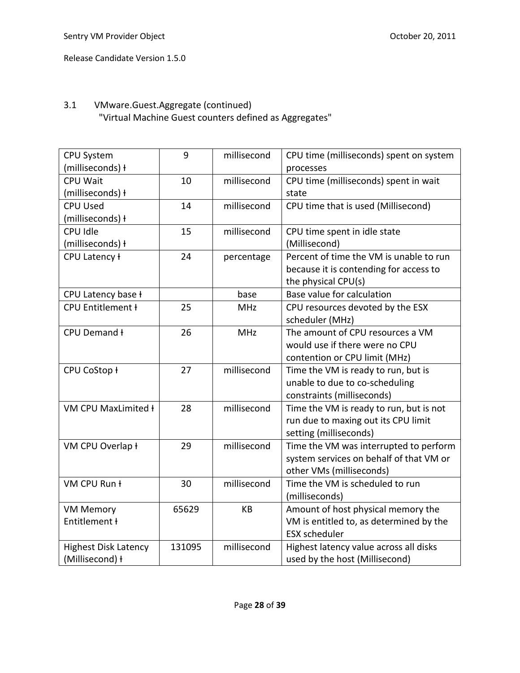# 3.1 VMware.Guest.Aggregate (continued) "Virtual Machine Guest counters defined as Aggregates"

| <b>CPU System</b>           | 9      | millisecond | CPU time (milliseconds) spent on system |
|-----------------------------|--------|-------------|-----------------------------------------|
| (milliseconds) ł            |        |             | processes                               |
| <b>CPU Wait</b>             | 10     | millisecond | CPU time (milliseconds) spent in wait   |
| (milliseconds) ł            |        |             | state                                   |
| <b>CPU Used</b>             | 14     | millisecond | CPU time that is used (Millisecond)     |
| (milliseconds) ł            |        |             |                                         |
| CPU Idle                    | 15     | millisecond | CPU time spent in idle state            |
| (milliseconds) ł            |        |             | (Millisecond)                           |
| CPU Latency ł               | 24     | percentage  | Percent of time the VM is unable to run |
|                             |        |             | because it is contending for access to  |
|                             |        |             | the physical CPU(s)                     |
| CPU Latency base ł          |        | base        | Base value for calculation              |
| <b>CPU Entitlement +</b>    | 25     | <b>MHz</b>  | CPU resources devoted by the ESX        |
|                             |        |             | scheduler (MHz)                         |
| CPU Demand ł                | 26     | <b>MHz</b>  | The amount of CPU resources a VM        |
|                             |        |             | would use if there were no CPU          |
|                             |        |             | contention or CPU limit (MHz)           |
| CPU CoStop ł                | 27     | millisecond | Time the VM is ready to run, but is     |
|                             |        |             | unable to due to co-scheduling          |
|                             |        |             | constraints (milliseconds)              |
| VM CPU MaxLimited ł         | 28     | millisecond | Time the VM is ready to run, but is not |
|                             |        |             | run due to maxing out its CPU limit     |
|                             |        |             | setting (milliseconds)                  |
| VM CPU Overlap ł            | 29     | millisecond | Time the VM was interrupted to perform  |
|                             |        |             | system services on behalf of that VM or |
|                             |        |             | other VMs (milliseconds)                |
| VM CPU Run ł                | 30     | millisecond | Time the VM is scheduled to run         |
|                             |        |             | (milliseconds)                          |
| <b>VM Memory</b>            | 65629  | <b>KB</b>   | Amount of host physical memory the      |
| Entitlement ł               |        |             | VM is entitled to, as determined by the |
|                             |        |             | <b>ESX</b> scheduler                    |
| <b>Highest Disk Latency</b> | 131095 | millisecond | Highest latency value across all disks  |
| (Millisecond) ł             |        |             | used by the host (Millisecond)          |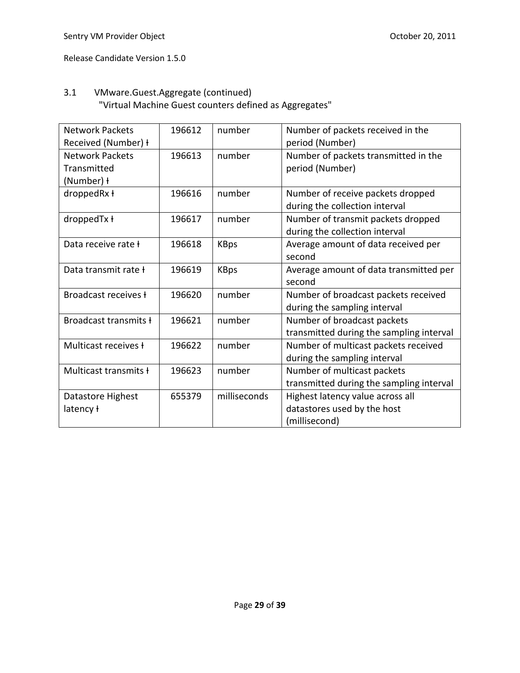# 3.1 VMware.Guest.Aggregate (continued) "Virtual Machine Guest counters defined as Aggregates"

| <b>Network Packets</b> | 196612 | number       | Number of packets received in the        |
|------------------------|--------|--------------|------------------------------------------|
| Received (Number) +    |        |              | period (Number)                          |
| <b>Network Packets</b> | 196613 | number       | Number of packets transmitted in the     |
| Transmitted            |        |              | period (Number)                          |
| (Number) ł             |        |              |                                          |
| droppedRx ł            | 196616 | number       | Number of receive packets dropped        |
|                        |        |              | during the collection interval           |
| droppedTx ł            | 196617 | number       | Number of transmit packets dropped       |
|                        |        |              | during the collection interval           |
| Data receive rate f    | 196618 | <b>KBps</b>  | Average amount of data received per      |
|                        |        |              | second                                   |
| Data transmit rate +   | 196619 | <b>KBps</b>  | Average amount of data transmitted per   |
|                        |        |              | second                                   |
| Broadcast receives f   | 196620 | number       | Number of broadcast packets received     |
|                        |        |              | during the sampling interval             |
| Broadcast transmits +  | 196621 | number       | Number of broadcast packets              |
|                        |        |              | transmitted during the sampling interval |
| Multicast receives f   | 196622 | number       | Number of multicast packets received     |
|                        |        |              | during the sampling interval             |
| Multicast transmits +  | 196623 | number       | Number of multicast packets              |
|                        |        |              | transmitted during the sampling interval |
| Datastore Highest      | 655379 | milliseconds | Highest latency value across all         |
| latency ł              |        |              | datastores used by the host              |
|                        |        |              | (millisecond)                            |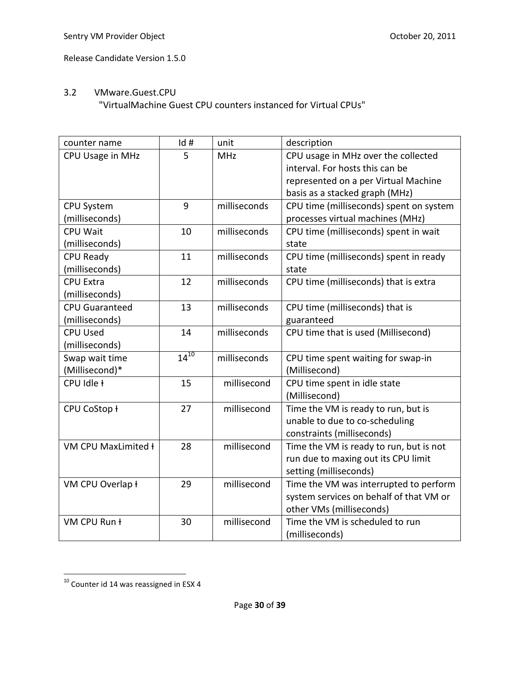### 3.2 VMware.Guest.CPU "VirtualMachine Guest CPU counters instanced for Virtual CPUs"

| counter name          | Id#       | unit         | description                             |
|-----------------------|-----------|--------------|-----------------------------------------|
| CPU Usage in MHz      | 5         | <b>MHz</b>   | CPU usage in MHz over the collected     |
|                       |           |              | interval. For hosts this can be         |
|                       |           |              | represented on a per Virtual Machine    |
|                       |           |              | basis as a stacked graph (MHz)          |
| <b>CPU System</b>     | 9         | milliseconds | CPU time (milliseconds) spent on system |
| (milliseconds)        |           |              | processes virtual machines (MHz)        |
| <b>CPU Wait</b>       | 10        | milliseconds | CPU time (milliseconds) spent in wait   |
| (milliseconds)        |           |              | state                                   |
| <b>CPU Ready</b>      | 11        | milliseconds | CPU time (milliseconds) spent in ready  |
| (milliseconds)        |           |              | state                                   |
| <b>CPU Extra</b>      | 12        | milliseconds | CPU time (milliseconds) that is extra   |
| (milliseconds)        |           |              |                                         |
| <b>CPU Guaranteed</b> | 13        | milliseconds | CPU time (milliseconds) that is         |
| (milliseconds)        |           |              | guaranteed                              |
| <b>CPU Used</b>       | 14        | milliseconds | CPU time that is used (Millisecond)     |
| (milliseconds)        |           |              |                                         |
| Swap wait time        | $14^{10}$ | milliseconds | CPU time spent waiting for swap-in      |
| (Millisecond)*        |           |              | (Millisecond)                           |
| CPU Idle +            | 15        | millisecond  | CPU time spent in idle state            |
|                       |           |              | (Millisecond)                           |
| CPU CoStop ł          | 27        | millisecond  | Time the VM is ready to run, but is     |
|                       |           |              | unable to due to co-scheduling          |
|                       |           |              | constraints (milliseconds)              |
| VM CPU MaxLimited +   | 28        | millisecond  | Time the VM is ready to run, but is not |
|                       |           |              | run due to maxing out its CPU limit     |
|                       |           |              | setting (milliseconds)                  |
| VM CPU Overlap ł      | 29        | millisecond  | Time the VM was interrupted to perform  |
|                       |           |              | system services on behalf of that VM or |
|                       |           |              | other VMs (milliseconds)                |
| VM CPU Run ł          | 30        | millisecond  | Time the VM is scheduled to run         |
|                       |           |              | (milliseconds)                          |

 $\overline{\phantom{a}}$  $^{10}$  Counter id 14 was reassigned in ESX 4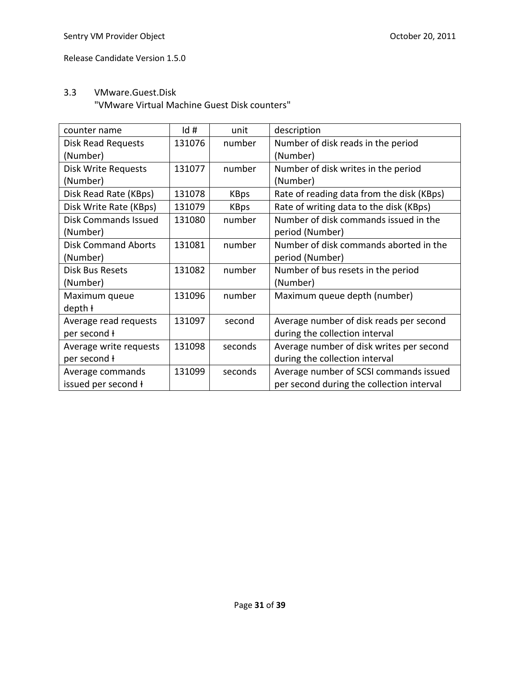# 3.3 VMware.Guest.Disk

"VMware Virtual Machine Guest Disk counters"

| counter name                | Id#    | unit        | description                               |
|-----------------------------|--------|-------------|-------------------------------------------|
| Disk Read Requests          | 131076 | number      | Number of disk reads in the period        |
| (Number)                    |        |             | (Number)                                  |
| <b>Disk Write Requests</b>  | 131077 | number      | Number of disk writes in the period       |
| (Number)                    |        |             | (Number)                                  |
| Disk Read Rate (KBps)       | 131078 | <b>KBps</b> | Rate of reading data from the disk (KBps) |
| Disk Write Rate (KBps)      | 131079 | <b>KBps</b> | Rate of writing data to the disk (KBps)   |
| <b>Disk Commands Issued</b> | 131080 | number      | Number of disk commands issued in the     |
| (Number)                    |        |             | period (Number)                           |
| <b>Disk Command Aborts</b>  | 131081 | number      | Number of disk commands aborted in the    |
| (Number)                    |        |             | period (Number)                           |
| <b>Disk Bus Resets</b>      | 131082 | number      | Number of bus resets in the period        |
| (Number)                    |        |             | (Number)                                  |
| Maximum queue               | 131096 | number      | Maximum queue depth (number)              |
| depth +                     |        |             |                                           |
| Average read requests       | 131097 | second      | Average number of disk reads per second   |
| per second ł                |        |             | during the collection interval            |
| Average write requests      | 131098 | seconds     | Average number of disk writes per second  |
| per second ł                |        |             | during the collection interval            |
| Average commands            | 131099 | seconds     | Average number of SCSI commands issued    |
| issued per second +         |        |             | per second during the collection interval |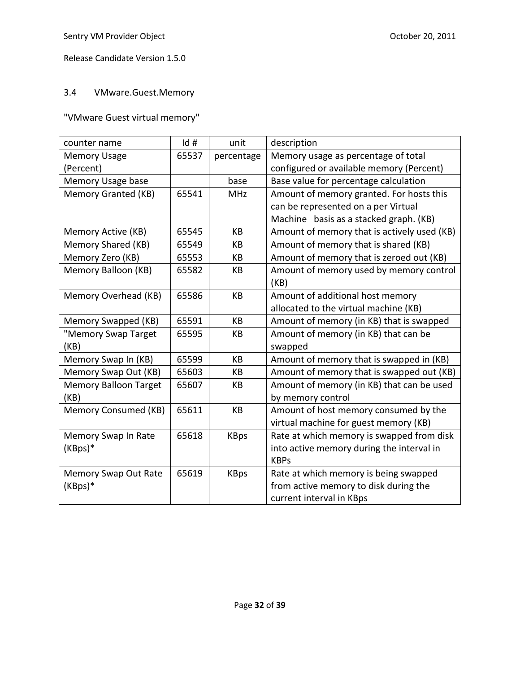# 3.4 VMware.Guest.Memory

"VMware Guest virtual memory"

| counter name                 | Id#   | unit        | description                                 |
|------------------------------|-------|-------------|---------------------------------------------|
| <b>Memory Usage</b>          | 65537 | percentage  | Memory usage as percentage of total         |
| (Percent)                    |       |             | configured or available memory (Percent)    |
| Memory Usage base            |       | base        | Base value for percentage calculation       |
| Memory Granted (KB)          | 65541 | <b>MHz</b>  | Amount of memory granted. For hosts this    |
|                              |       |             | can be represented on a per Virtual         |
|                              |       |             | Machine basis as a stacked graph. (KB)      |
| Memory Active (KB)           | 65545 | KB          | Amount of memory that is actively used (KB) |
| Memory Shared (KB)           | 65549 | KB          | Amount of memory that is shared (KB)        |
| Memory Zero (KB)             | 65553 | KB          | Amount of memory that is zeroed out (KB)    |
| Memory Balloon (KB)          | 65582 | KB          | Amount of memory used by memory control     |
|                              |       |             | (KB)                                        |
| Memory Overhead (KB)         | 65586 | KB          | Amount of additional host memory            |
|                              |       |             | allocated to the virtual machine (KB)       |
| Memory Swapped (KB)          | 65591 | KB          | Amount of memory (in KB) that is swapped    |
| "Memory Swap Target          | 65595 | KB          | Amount of memory (in KB) that can be        |
| (KB)                         |       |             | swapped                                     |
| Memory Swap In (KB)          | 65599 | KB          | Amount of memory that is swapped in (KB)    |
| Memory Swap Out (KB)         | 65603 | KB          | Amount of memory that is swapped out (KB)   |
| <b>Memory Balloon Target</b> | 65607 | KB          | Amount of memory (in KB) that can be used   |
| (KB)                         |       |             | by memory control                           |
| Memory Consumed (KB)         | 65611 | KB          | Amount of host memory consumed by the       |
|                              |       |             | virtual machine for guest memory (KB)       |
| Memory Swap In Rate          | 65618 | <b>KBps</b> | Rate at which memory is swapped from disk   |
| (KBps)*                      |       |             | into active memory during the interval in   |
|                              |       |             | <b>KBPs</b>                                 |
| Memory Swap Out Rate         | 65619 | <b>KBps</b> | Rate at which memory is being swapped       |
| (KBps)*                      |       |             | from active memory to disk during the       |
|                              |       |             | current interval in KBps                    |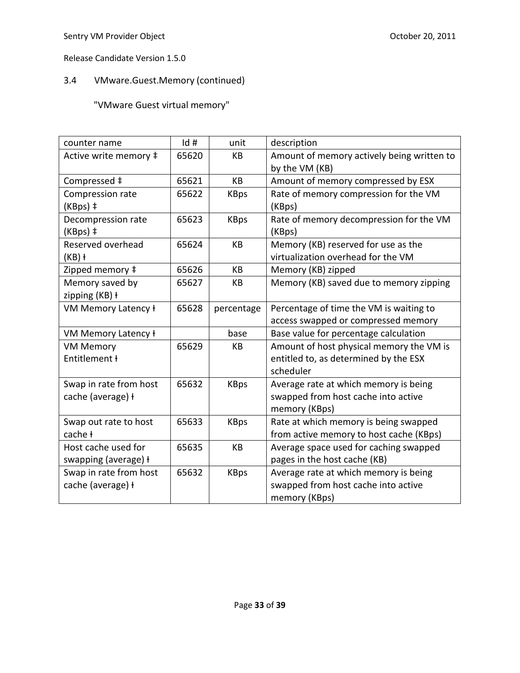# 3.4 VMware.Guest.Memory (continued)

"VMware Guest virtual memory"

| counter name           | Id#   | unit        | description                                |
|------------------------|-------|-------------|--------------------------------------------|
| Active write memory ‡  | 65620 | KB          | Amount of memory actively being written to |
|                        |       |             | by the VM (KB)                             |
| Compressed ‡           | 65621 | KB          | Amount of memory compressed by ESX         |
| Compression rate       | 65622 | <b>KBps</b> | Rate of memory compression for the VM      |
| (KBps) ‡               |       |             | (KBps)                                     |
| Decompression rate     | 65623 | <b>KBps</b> | Rate of memory decompression for the VM    |
| (KBps) ‡               |       |             | (KBps)                                     |
| Reserved overhead      | 65624 | KB          | Memory (KB) reserved for use as the        |
| $(KB)$ +               |       |             | virtualization overhead for the VM         |
| Zipped memory ‡        | 65626 | KB          | Memory (KB) zipped                         |
| Memory saved by        | 65627 | КB          | Memory (KB) saved due to memory zipping    |
| zipping (KB) ł         |       |             |                                            |
| VM Memory Latency ł    | 65628 | percentage  | Percentage of time the VM is waiting to    |
|                        |       |             | access swapped or compressed memory        |
| VM Memory Latency ł    |       | base        | Base value for percentage calculation      |
| <b>VM Memory</b>       | 65629 | KB          | Amount of host physical memory the VM is   |
| Entitlement ł          |       |             | entitled to, as determined by the ESX      |
|                        |       |             | scheduler                                  |
| Swap in rate from host | 65632 | <b>KBps</b> | Average rate at which memory is being      |
| cache (average) +      |       |             | swapped from host cache into active        |
|                        |       |             | memory (KBps)                              |
| Swap out rate to host  | 65633 | <b>KBps</b> | Rate at which memory is being swapped      |
| cache ł                |       |             | from active memory to host cache (KBps)    |
| Host cache used for    | 65635 | KB          | Average space used for caching swapped     |
| swapping (average) +   |       |             | pages in the host cache (KB)               |
| Swap in rate from host | 65632 | <b>KBps</b> | Average rate at which memory is being      |
| cache (average) +      |       |             | swapped from host cache into active        |
|                        |       |             | memory (KBps)                              |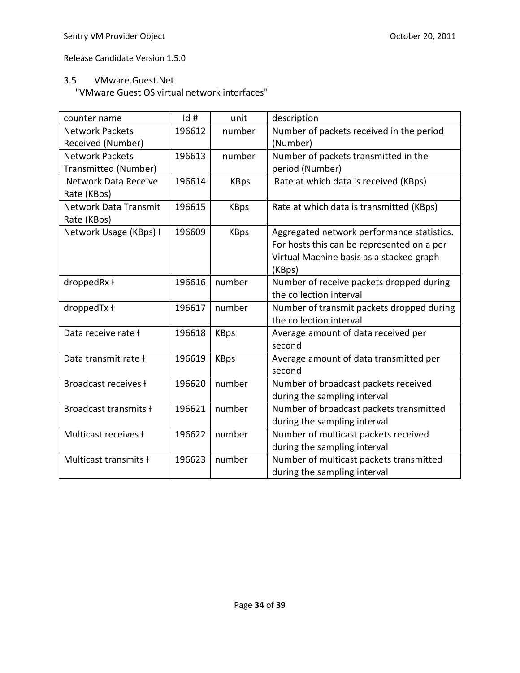### 3.5 VMware.Guest.Net

"VMware Guest OS virtual network interfaces"

| counter name                | Id#    | unit        | description                                |
|-----------------------------|--------|-------------|--------------------------------------------|
| <b>Network Packets</b>      | 196612 | number      | Number of packets received in the period   |
| Received (Number)           |        |             | (Number)                                   |
| <b>Network Packets</b>      | 196613 | number      | Number of packets transmitted in the       |
| Transmitted (Number)        |        |             | period (Number)                            |
| <b>Network Data Receive</b> | 196614 | <b>KBps</b> | Rate at which data is received (KBps)      |
| Rate (KBps)                 |        |             |                                            |
| Network Data Transmit       | 196615 | <b>KBps</b> | Rate at which data is transmitted (KBps)   |
| Rate (KBps)                 |        |             |                                            |
| Network Usage (KBps) +      | 196609 | <b>KBps</b> | Aggregated network performance statistics. |
|                             |        |             | For hosts this can be represented on a per |
|                             |        |             | Virtual Machine basis as a stacked graph   |
|                             |        |             | (KBps)                                     |
| droppedRx ł                 | 196616 | number      | Number of receive packets dropped during   |
|                             |        |             | the collection interval                    |
| droppedTx ł                 | 196617 | number      | Number of transmit packets dropped during  |
|                             |        |             | the collection interval                    |
| Data receive rate ł         | 196618 | <b>KBps</b> | Average amount of data received per        |
|                             |        |             | second                                     |
| Data transmit rate ł        | 196619 | <b>KBps</b> | Average amount of data transmitted per     |
|                             |        |             | second                                     |
| Broadcast receives <b>f</b> | 196620 | number      | Number of broadcast packets received       |
|                             |        |             | during the sampling interval               |
| Broadcast transmits +       | 196621 | number      | Number of broadcast packets transmitted    |
|                             |        |             | during the sampling interval               |
| Multicast receives <b>t</b> | 196622 | number      | Number of multicast packets received       |
|                             |        |             | during the sampling interval               |
| Multicast transmits ł       | 196623 | number      | Number of multicast packets transmitted    |
|                             |        |             | during the sampling interval               |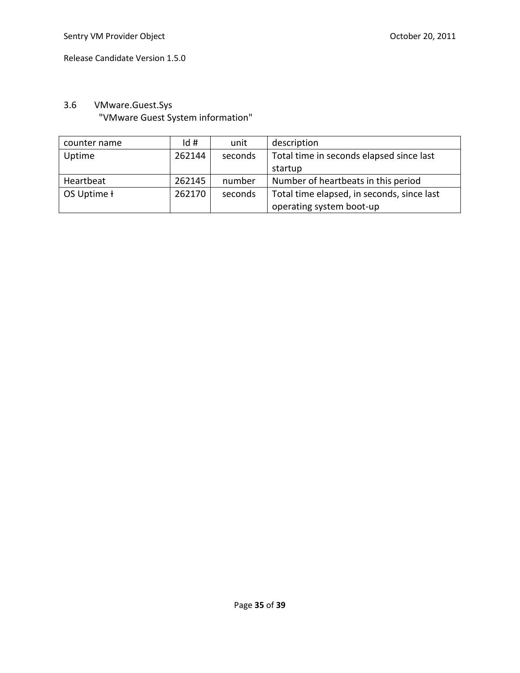# 3.6 VMware.Guest.Sys "VMware Guest System information"

| counter name | Id#    | unit    | description                                |
|--------------|--------|---------|--------------------------------------------|
| Uptime       | 262144 | seconds | Total time in seconds elapsed since last   |
|              |        |         | startup                                    |
| Heartbeat    | 262145 | number  | Number of heartbeats in this period        |
| OS Uptime ł  | 262170 | seconds | Total time elapsed, in seconds, since last |
|              |        |         | operating system boot-up                   |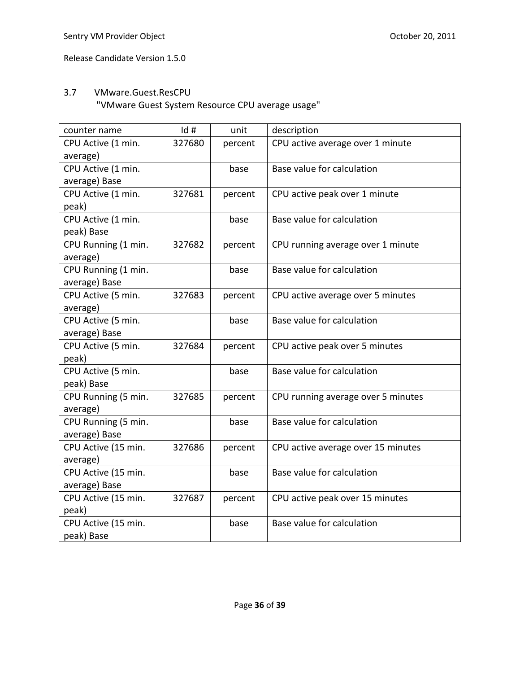### 3.7 VMware.Guest.ResCPU

"VMware Guest System Resource CPU average usage"

| counter name        | Id#    | unit    | description                        |
|---------------------|--------|---------|------------------------------------|
| CPU Active (1 min.  | 327680 | percent | CPU active average over 1 minute   |
| average)            |        |         |                                    |
| CPU Active (1 min.  |        | base    | Base value for calculation         |
| average) Base       |        |         |                                    |
| CPU Active (1 min.  | 327681 | percent | CPU active peak over 1 minute      |
| peak)               |        |         |                                    |
| CPU Active (1 min.  |        | base    | Base value for calculation         |
| peak) Base          |        |         |                                    |
| CPU Running (1 min. | 327682 | percent | CPU running average over 1 minute  |
| average)            |        |         |                                    |
| CPU Running (1 min. |        | base    | Base value for calculation         |
| average) Base       |        |         |                                    |
| CPU Active (5 min.  | 327683 | percent | CPU active average over 5 minutes  |
| average)            |        |         |                                    |
| CPU Active (5 min.  |        | base    | Base value for calculation         |
| average) Base       |        |         |                                    |
| CPU Active (5 min.  | 327684 | percent | CPU active peak over 5 minutes     |
| peak)               |        |         |                                    |
| CPU Active (5 min.  |        | base    | Base value for calculation         |
| peak) Base          |        |         |                                    |
| CPU Running (5 min. | 327685 | percent | CPU running average over 5 minutes |
| average)            |        |         |                                    |
| CPU Running (5 min. |        | base    | Base value for calculation         |
| average) Base       |        |         |                                    |
| CPU Active (15 min. | 327686 | percent | CPU active average over 15 minutes |
| average)            |        |         |                                    |
| CPU Active (15 min. |        | base    | Base value for calculation         |
| average) Base       |        |         |                                    |
| CPU Active (15 min. | 327687 | percent | CPU active peak over 15 minutes    |
| peak)               |        |         |                                    |
| CPU Active (15 min. |        | base    | Base value for calculation         |
| peak) Base          |        |         |                                    |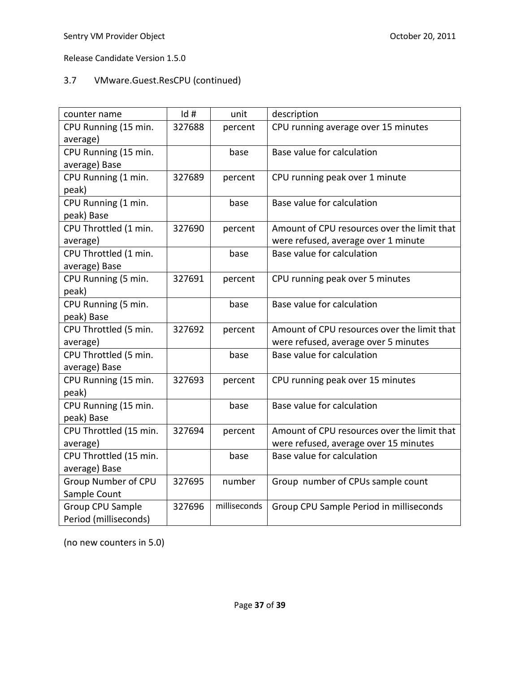# 3.7 VMware.Guest.ResCPU (continued)

| counter name           | Id#    | unit         | description                                 |
|------------------------|--------|--------------|---------------------------------------------|
| CPU Running (15 min.   | 327688 | percent      | CPU running average over 15 minutes         |
| average)               |        |              |                                             |
| CPU Running (15 min.   |        | base         | Base value for calculation                  |
| average) Base          |        |              |                                             |
| CPU Running (1 min.    | 327689 | percent      | CPU running peak over 1 minute              |
| peak)                  |        |              |                                             |
| CPU Running (1 min.    |        | base         | Base value for calculation                  |
| peak) Base             |        |              |                                             |
| CPU Throttled (1 min.  | 327690 | percent      | Amount of CPU resources over the limit that |
| average)               |        |              | were refused, average over 1 minute         |
| CPU Throttled (1 min.  |        | base         | Base value for calculation                  |
| average) Base          |        |              |                                             |
| CPU Running (5 min.    | 327691 | percent      | CPU running peak over 5 minutes             |
| peak)                  |        |              |                                             |
| CPU Running (5 min.    |        | base         | Base value for calculation                  |
| peak) Base             |        |              |                                             |
| CPU Throttled (5 min.  | 327692 | percent      | Amount of CPU resources over the limit that |
| average)               |        |              | were refused, average over 5 minutes        |
| CPU Throttled (5 min.  |        | base         | Base value for calculation                  |
| average) Base          |        |              |                                             |
| CPU Running (15 min.   | 327693 | percent      | CPU running peak over 15 minutes            |
| peak)                  |        |              |                                             |
| CPU Running (15 min.   |        | base         | Base value for calculation                  |
| peak) Base             |        |              |                                             |
| CPU Throttled (15 min. | 327694 | percent      | Amount of CPU resources over the limit that |
| average)               |        |              | were refused, average over 15 minutes       |
| CPU Throttled (15 min. |        | base         | Base value for calculation                  |
| average) Base          |        |              |                                             |
| Group Number of CPU    | 327695 | number       | Group number of CPUs sample count           |
| Sample Count           |        |              |                                             |
| Group CPU Sample       | 327696 | milliseconds | Group CPU Sample Period in milliseconds     |
| Period (milliseconds)  |        |              |                                             |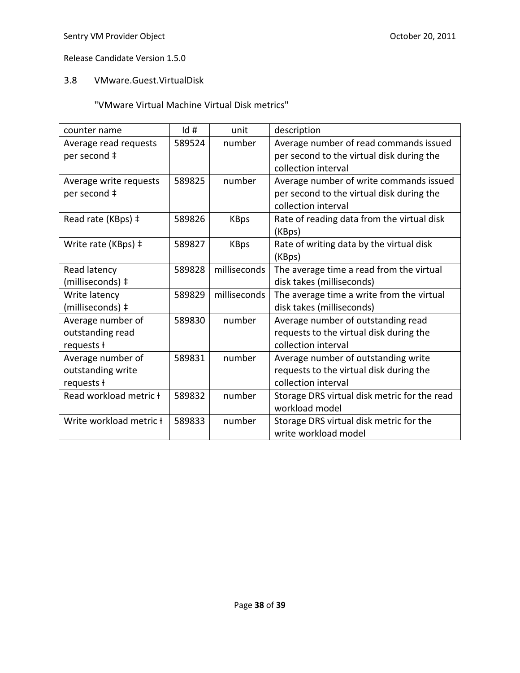# 3.8 VMware.Guest.VirtualDisk

# "VMware Virtual Machine Virtual Disk metrics"

| counter name                          | $\mathsf{Id}$ # | unit         | description                                                                         |
|---------------------------------------|-----------------|--------------|-------------------------------------------------------------------------------------|
| Average read requests<br>per second ‡ | 589524          | number       | Average number of read commands issued<br>per second to the virtual disk during the |
|                                       |                 |              | collection interval                                                                 |
| Average write requests                | 589825          | number       | Average number of write commands issued                                             |
| per second ‡                          |                 |              | per second to the virtual disk during the                                           |
|                                       |                 |              | collection interval                                                                 |
| Read rate (KBps) ‡                    | 589826          | <b>KBps</b>  | Rate of reading data from the virtual disk                                          |
|                                       |                 |              | (KBps)                                                                              |
| Write rate (KBps) ‡                   | 589827          | <b>KBps</b>  | Rate of writing data by the virtual disk                                            |
|                                       |                 |              | (KBps)                                                                              |
| Read latency                          | 589828          | milliseconds | The average time a read from the virtual                                            |
| (milliseconds) ‡                      |                 |              | disk takes (milliseconds)                                                           |
| Write latency                         | 589829          | milliseconds | The average time a write from the virtual                                           |
| (milliseconds) ‡                      |                 |              | disk takes (milliseconds)                                                           |
| Average number of                     | 589830          | number       | Average number of outstanding read                                                  |
| outstanding read                      |                 |              | requests to the virtual disk during the                                             |
| requests ł                            |                 |              | collection interval                                                                 |
| Average number of                     | 589831          | number       | Average number of outstanding write                                                 |
| outstanding write                     |                 |              | requests to the virtual disk during the                                             |
| requests ł                            |                 |              | collection interval                                                                 |
| Read workload metric +                | 589832          | number       | Storage DRS virtual disk metric for the read                                        |
|                                       |                 |              | workload model                                                                      |
| Write workload metric <b>t</b>        | 589833          | number       | Storage DRS virtual disk metric for the                                             |
|                                       |                 |              | write workload model                                                                |